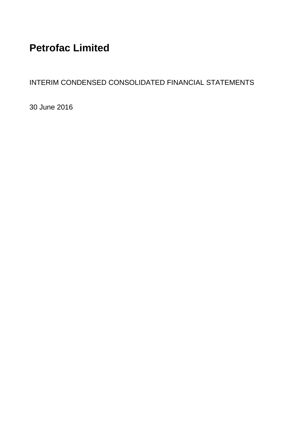## **Petrofac Limited**

INTERIM CONDENSED CONSOLIDATED FINANCIAL STATEMENTS

30 June 2016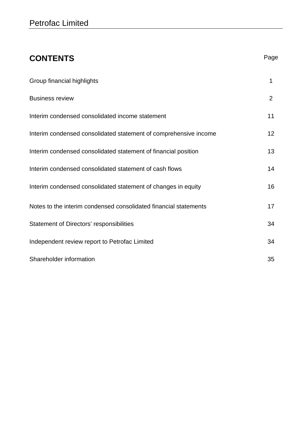| <b>CONTENTS</b>                                                  | Page           |
|------------------------------------------------------------------|----------------|
| Group financial highlights                                       | 1              |
| <b>Business review</b>                                           | $\overline{2}$ |
| Interim condensed consolidated income statement                  | 11             |
| Interim condensed consolidated statement of comprehensive income | 12             |
| Interim condensed consolidated statement of financial position   | 13             |
| Interim condensed consolidated statement of cash flows           | 14             |
| Interim condensed consolidated statement of changes in equity    | 16             |
| Notes to the interim condensed consolidated financial statements | 17             |
| Statement of Directors' responsibilities                         | 34             |
| Independent review report to Petrofac Limited                    | 34             |
| Shareholder information                                          | 35             |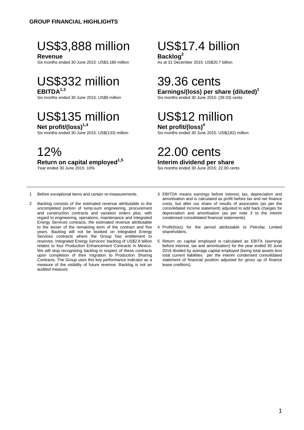## US\$3,888 million US\$17.4 billion

**Revenue**<br>Six months ended 30 June 2015: US\$3,180 million<br>As at 31 December 2015: US\$20.7 billion Six months ended 30 June 2015: US\$3,180 million

# US\$332 million 39.36 cents

## US\$135 million US\$12 million

**Net profit/(loss)<sup>1,4</sup><br>Six months ended 30 June 2015: US\$(133) million Six months ended 30 June** 

**Return on capital employed<sup>1,5</sup>**<br>Year ended 30 June 2015: 10%

#### 1 Before exceptional items and certain re-measurements.

2 Backlog consists of the estimated revenue attributable to the uncompleted portion of lump-sum engineering, procurement and construction contracts and variation orders plus, with regard to engineering, operations, maintenance and Integrated Energy Services contracts, the estimated revenue attributable to the lesser of the remaining term of the contract and five years. Backlog will not be booked on Integrated Energy Services contracts where the Group has entitlement to reserves. Integrated Energy Services' backlog of US\$2.8 billion relates to four Production Enhancement Contracts in Mexico. We will stop recognising backlog in respect of these contracts upon completion of their migration to Production Sharing Contracts. The Group uses this key performance indicator as a measure of the visibility of future revenue. Backlog is not an audited measure.

## **EBITDA**<sup>1,3</sup><br>Six months ended 30 June 2015: US\$9 million<br>Six months ended 30 June 2015: (39.33) cents

Six months ended 30 June 2015: (39.33) cents

Six months ended 30 June 2015: US\$(182) million

## 12% 22.00 cents

### **Interim dividend per share**

Six months ended 30 June 2015: 22.00 cents

- 3 EBITDA means earnings before interest, tax, depreciation and amortisation and is calculated as profit before tax and net finance costs, but after our share of results of associates (as per the consolidated income statement) adjusted to add back charges for depreciation and amortisation (as per note 3 to the interim condensed consolidated financial statements).
- 4 Profit/(loss) for the period attributable to Petrofac Limited shareholders.
- 5 Return on capital employed is calculated as EBITA (earnings before interest, tax and amortisation) for the year ended 30 June 2016 divided by average capital employed (being total assets less total current liabilities per the interim condensed consolidated statement of financial position adjusted for gross up of finance lease creditors).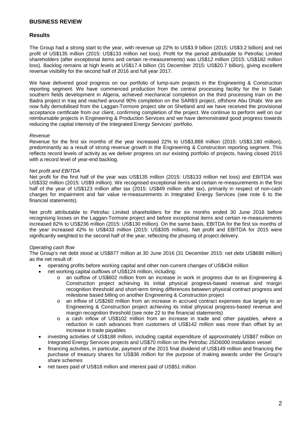#### **Results**

The Group had a strong start to the year, with revenue up 22% to US\$3.9 billion (2015: US\$3.2 billion) and net profit of US\$135 million (2015: US\$133 million net loss). Profit for the period attributable to Petrofac Limited shareholders (after exceptional items and certain re-measurements) was US\$12 million (2015: US\$182 million loss). Backlog remains at high levels at US\$17.4 billion (31 December 2015: US\$20.7 billion), giving excellent revenue visibility for the second half of 2016 and full year 2017.

We have delivered good progress on our portfolio of lump-sum projects in the Engineering & Construction reporting segment. We have commenced production from the central processing facility for the In Salah southern fields development in Algeria, achieved mechanical completion on the third processing train on the Badra project in Iraq and reached around 90% completion on the SARB3 project, offshore Abu Dhabi. We are now fully demobilised from the Laggan-Tormore project site on Shetland and we have received the provisional acceptance certificate from our client, confirming completion of the project. We continue to perform well on our reimbursable projects in Engineering & Production Services and we have demonstrated good progress towards reducing the capital intensity of the Integrated Energy Services' portfolio.

#### *Revenue*

Revenue for the first six months of the year increased 22% to US\$3,888 million (2015: US\$3,180 million), predominantly as a result of strong revenue growth in the Engineering & Construction reporting segment. This reflects record levels of activity as we deliver progress on our existing portfolio of projects, having closed 2015 with a record level of year-end backlog.

#### *Net profit and EBITDA*

Net profit for the first half of the year was US\$135 million (2015: US\$133 million net loss) and EBITDA was US\$332 million (2015: US\$9 million). We recognised exceptional items and certain re-measurements in the first half of the year of US\$123 million after tax (2015: US\$49 million after tax), primarily in respect of non-cash charges for impairment and fair value re-measurements in Integrated Energy Services (see note 6 to the financial statements).

Net profit attributable to Petrofac Limited shareholders for the six months ended 30 June 2016 before recognising losses on the Laggan-Tormore project and before exceptional items and certain re-measurements increased 82% to US\$236 million (2015: US\$130 million). On the same basis, EBITDA for the first six months of the year increased 42% to US\$433 million (2015: US\$305 million). Net profit and EBITDA for 2015 were significantly weighted to the second half of the year, reflecting the phasing of project delivery.

#### *Operating cash flow*

The Group's net debt stood at US\$877 million at 30 June 2016 (31 December 2015: net debt US\$686 million) as the net result of:

- operating profits before working capital and other non-current changes of US\$434 million
- net working capital outflows of US\$124 million, including:
	- o an outflow of US\$602 million from an increase in work in progress due to an Engineering & Construction project achieving its initial physical progress-based revenue and margin recognition threshold and short-term timing differences between physical contract progress and milestone based billing on another Engineering & Construction project
	- o an inflow of US\$260 million from an increase in accrued contract expenses due largely to an Engineering & Construction project achieving its initial physical progress-based revenue and margin recognition threshold (see note 22 to the financial statements)
	- o a cash inflow of US\$102 million from an increase in trade and other payables, where a reduction in cash advances from customers of US\$142 million was more than offset by an increase in trade payables
- investing activities of US\$188 million, including capital expenditure of approximately US\$87 million on Integrated Energy Services projects and US\$70 million on the Petrofac JSD6000 installation vessel
- financing activities, in particular, payment of the 2015 final dividend of US\$149 million and financing the purchase of treasury shares for US\$36 million for the purpose of making awards under the Group's share schemes
- net taxes paid of US\$18 million and interest paid of US\$51 million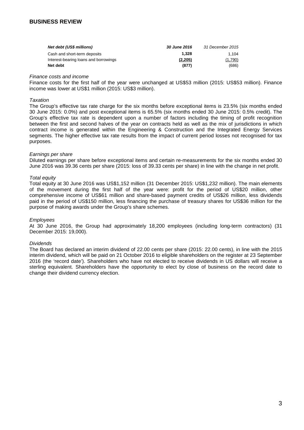| Net debt (US\$ millions)              | <b>30 June 2016</b> | 31 December 2015 |
|---------------------------------------|---------------------|------------------|
| Cash and short-term deposits          | 1.328               | 1.104            |
| Interest-bearing loans and borrowings | (2.205)             | (1,790)          |
| Net debt                              | (877)               | (686)            |

#### *Finance costs and income*

Finance costs for the first half of the year were unchanged at US\$53 million (2015: US\$53 million). Finance income was lower at US\$1 million (2015: US\$3 million).

#### *Taxation*

The Group's effective tax rate charge for the six months before exceptional items is 23.5% (six months ended 30 June 2015: 0.0%) and post exceptional items is 65.5% (six months ended 30 June 2015: 0.5% credit). The Group's effective tax rate is dependent upon a number of factors including the timing of profit recognition between the first and second halves of the year on contracts held as well as the mix of jurisdictions in which contract income is generated within the Engineering & Construction and the Integrated Energy Services segments. The higher effective tax rate results from the impact of current period losses not recognised for tax purposes.

#### *Earnings per share*

Diluted earnings per share before exceptional items and certain re-measurements for the six months ended 30 June 2016 was 39.36 cents per share (2015: loss of 39.33 cents per share) in line with the change in net profit.

#### *Total equity*

Total equity at 30 June 2016 was US\$1,152 million (31 December 2015: US\$1,232 million). The main elements of the movement during the first half of the year were: profit for the period of US\$20 million, other comprehensive income of US\$61 million and share-based payment credits of US\$26 million, less dividends paid in the period of US\$150 million, less financing the purchase of treasury shares for US\$36 million for the purpose of making awards under the Group's share schemes.

#### *Employees*

At 30 June 2016, the Group had approximately 18,200 employees (including long-term contractors) (31 December 2015: 19,000).

#### *Dividends*

The Board has declared an interim dividend of 22.00 cents per share (2015: 22.00 cents), in line with the 2015 interim dividend, which will be paid on 21 October 2016 to eligible shareholders on the register at 23 September 2016 (the 'record date'). Shareholders who have not elected to receive dividends in US dollars will receive a sterling equivalent. Shareholders have the opportunity to elect by close of business on the record date to change their dividend currency election.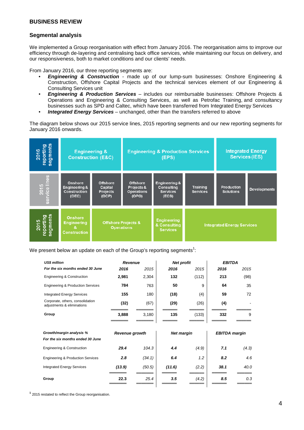#### **Segmental analysis**

We implemented a Group reorganisation with effect from January 2016. The reorganisation aims to improve our efficiency through de-layering and centralising back office services, while maintaining our focus on delivery, and our responsiveness, both to market conditions and our clients' needs.

From January 2016, our three reporting segments are:

- *Engineering & Construction* made up of our lump-sum businesses: Onshore Engineering & Construction, Offshore Capital Projects and the technical services element of our Engineering & Consulting Services unit
- *Engineering & Production Services* includes our reimbursable businesses: Offshore Projects & Operations and Engineering & Consulting Services, as well as Petrofac Training, and consultancy businesses such as SPD and Caltec, which have been transferred from Integrated Energy Services
- *Integrated Energy Services* unchanged, other than the transfers referred to above

The diagram below shows our 2015 service lines, 2015 reporting segments and our new reporting segments for January 2016 onwards.



We present below an update on each of the Group's reporting segments $^1$ :

| <b>US\$ million</b>                                            | Revenue               |        |                   | <b>Net profit</b> | <b>EBITDA</b>        |       |  |
|----------------------------------------------------------------|-----------------------|--------|-------------------|-------------------|----------------------|-------|--|
| For the six months ended 30 June                               | 2016                  | 2015   | 2016              | 2015              | 2016                 | 2015  |  |
| <b>Engineering &amp; Construction</b>                          | 2,981                 | 2,304  | 132               | (112)             | 213                  | (98)  |  |
| <b>Engineering &amp; Production Services</b>                   | 784                   | 763    | 50                | 9                 | 64                   | 35    |  |
| <b>Integrated Energy Services</b>                              | 155                   | 180    | (18)              | (4)               | 59                   | 72    |  |
| Corporate, others, consolidation<br>adjustments & eliminations | (32)                  | (67)   | (29)              | (26)              | (4)                  |       |  |
| Group                                                          | 3,888                 | 3,180  | 135               | (133)             | 332                  | 9     |  |
|                                                                |                       |        |                   |                   |                      |       |  |
| Growth/margin analysis %                                       | <b>Revenue growth</b> |        | <b>Net margin</b> |                   | <b>EBITDA</b> margin |       |  |
| For the six months ended 30 June                               |                       |        |                   |                   |                      |       |  |
| <b>Engineering &amp; Construction</b>                          | 29.4                  | 104.3  | 4.4               | (4.9)             | 7.1                  | (4.3) |  |
| <b>Engineering &amp; Production Services</b>                   | 2.8                   | (34.1) | 6.4               | 1.2               | 8.2                  | 4.6   |  |
| <b>Integrated Energy Services</b>                              | (13.9)                | (50.5) | (11.6)            | (2.2)             | 38.1                 | 40.0  |  |
|                                                                |                       |        |                   |                   |                      |       |  |

**1** 2015 restated to reflect the Group reorganisation.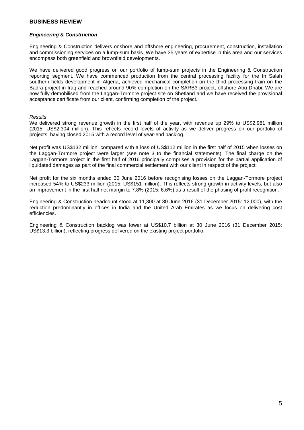#### *Engineering & Construction*

Engineering & Construction delivers onshore and offshore engineering, procurement, construction, installation and commissioning services on a lump-sum basis. We have 35 years of expertise in this area and our services encompass both greenfield and brownfield developments.

We have delivered good progress on our portfolio of lump-sum projects in the Engineering & Construction reporting segment. We have commenced production from the central processing facility for the In Salah southern fields development in Algeria, achieved mechanical completion on the third processing train on the Badra project in Iraq and reached around 90% completion on the SARB3 project, offshore Abu Dhabi. We are now fully demobilised from the Laggan-Tormore project site on Shetland and we have received the provisional acceptance certificate from our client, confirming completion of the project.

#### *Results*

We delivered strong revenue growth in the first half of the year, with revenue up 29% to US\$2,981 million (2015: US\$2,304 million). This reflects record levels of activity as we deliver progress on our portfolio of projects, having closed 2015 with a record level of year-end backlog.

Net profit was US\$132 million, compared with a loss of US\$112 million in the first half of 2015 when losses on the Laggan-Tormore project were larger (see note 3 to the financial statements). The final charge on the Laggan-Tormore project in the first half of 2016 principally comprises a provision for the partial application of liquidated damages as part of the final commercial settlement with our client in respect of the project.

Net profit for the six months ended 30 June 2016 before recognising losses on the Laggan-Tormore project increased 54% to US\$233 million (2015: US\$151 million). This reflects strong growth in activity levels, but also an improvement in the first half net margin to 7.8% (2015: 6.6%) as a result of the phasing of profit recognition.

Engineering & Construction headcount stood at 11,300 at 30 June 2016 (31 December 2015: 12,000), with the reduction predominantly in offices in India and the United Arab Emirates as we focus on delivering cost efficiencies.

Engineering & Construction backlog was lower at US\$10.7 billion at 30 June 2016 (31 December 2015: US\$13.3 billion), reflecting progress delivered on the existing project portfolio.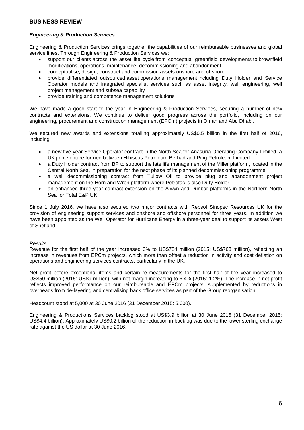#### *Engineering & Production Services*

Engineering & Production Services brings together the capabilities of our reimbursable businesses and global service lines. Through Engineering & Production Services we:

- support our clients across the asset life cycle from conceptual greenfield developments to brownfield modifications, operations, maintenance, decommissioning and abandonment
- conceptualise, design, construct and commission assets onshore and offshore
- provide differentiated outsourced asset operations management including Duty Holder and Service Operator models and integrated specialist services such as asset integrity, well engineering, well project management and subsea capability
- provide training and competence management solutions

We have made a good start to the year in Engineering & Production Services, securing a number of new contracts and extensions. We continue to deliver good progress across the portfolio, including on our engineering, procurement and construction management (EPCm) projects in Oman and Abu Dhabi.

We secured new awards and extensions totalling approximately US\$0.5 billion in the first half of 2016, including:

- a new five-year Service Operator contract in the North Sea for Anasuria Operating Company Limited, a UK joint venture formed between Hibiscus Petroleum Berhad and Ping Petroleum Limited
- a Duty Holder contract from BP to support the late life management of the Miller platform, located in the Central North Sea, in preparation for the next phase of its planned decommissioning programme
- a well decommissioning contract from Tullow Oil to provide plug and abandonment project management on the Horn and Wren platform where Petrofac is also Duty Holder
- an enhanced three-year contract extension on the Alwyn and Dunbar platforms in the Northern North Sea for Total E&P UK

Since 1 July 2016, we have also secured two major contracts with Repsol Sinopec Resources UK for the provision of engineering support services and onshore and offshore personnel for three years. In addition we have been appointed as the Well Operator for Hurricane Energy in a three-year deal to support its assets West of Shetland.

#### *Results*

Revenue for the first half of the year increased 3% to US\$784 million (2015: US\$763 million), reflecting an increase in revenues from EPCm projects, which more than offset a reduction in activity and cost deflation on operations and engineering services contracts, particularly in the UK.

Net profit before exceptional items and certain re-measurements for the first half of the year increased to US\$50 million (2015: US\$9 million), with net margin increasing to 6.4% (2015: 1.2%). The increase in net profit reflects improved performance on our reimbursable and EPCm projects, supplemented by reductions in overheads from de-layering and centralising back office services as part of the Group reorganisation.

Headcount stood at 5,000 at 30 June 2016 (31 December 2015: 5,000).

Engineering & Productions Services backlog stood at US\$3.9 billion at 30 June 2016 (31 December 2015: US\$4.4 billion). Approximately US\$0.2 billion of the reduction in backlog was due to the lower sterling exchange rate against the US dollar at 30 June 2016.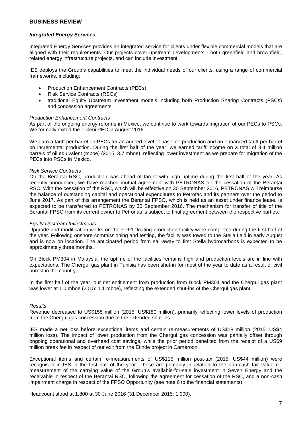#### *Integrated Energy Services*

Integrated Energy Services provides an integrated service for clients under flexible commercial models that are aligned with their requirements. Our projects cover upstream developments - both greenfield and brownfield, related energy infrastructure projects, and can include investment.

IES deploys the Group's capabilities to meet the individual needs of our clients, using a range of commercial frameworks, including:

- Production Enhancement Contracts (PECs)
- Risk Service Contracts (RSCs)
- traditional Equity Upstream Investment models including both Production Sharing Contracts (PSCs) and concession agreements

#### *Production Enhancement Contracts*

As part of the ongoing energy reforms in Mexico, we continue to work towards migration of our PECs to PSCs. We formally exited the Ticleni PEC in August 2016.

We earn a tariff per barrel on PECs for an agreed level of baseline production and an enhanced tariff per barrel on incremental production. During the first half of the year, we earned tariff income on a total of 3.4 million barrels of oil equivalent (mboe) (2015: 3.7 mboe), reflecting lower investment as we prepare for migration of the PECs into PSCs in Mexico.

#### *Risk Service Contracts*

On the Berantai RSC, production was ahead of target with high uptime during the first half of the year. As recently announced, we have reached mutual agreement with PETRONAS for the cessation of the Berantai RSC. With the cessation of the RSC, which will be effective on 30 September 2016, PETRONAS will reimburse the balance of outstanding capital and operational expenditures to Petrofac and its partners over the period to June 2017. As part of this arrangement the Berantai FPSO, which is held as an asset under finance lease, is expected to be transferred to PETRONAS by 30 September 2016. The mechanism for transfer of title of the Berantai FPSO from its current owner to Petronas is subject to final agreement between the respective parties.

#### *Equity Upstream Investments*

Upgrade and modification works on the FPF1 floating production facility were completed during the first half of the year. Following onshore commissioning and testing, the facility was towed to the Stella field in early August and is now on location. The anticipated period from sail-away to first Stella hydrocarbons is expected to be approximately three months.

On Block PM304 in Malaysia, the uptime of the facilities remains high and production levels are in line with expectations. The Chergui gas plant in Tunisia has been shut-in for most of the year to date as a result of civil unrest in the country.

In the first half of the year, our net entitlement from production from Block PM304 and the Chergui gas plant was lower at 1.0 mboe (2015: 1.1 mboe), reflecting the extended shut-ins of the Chergui gas plant.

#### *Results*

Revenue decreased to US\$155 million (2015: US\$180 million), primarily reflecting lower levels of production from the Chergui gas concession due to the extended shut-ins.

IES made a net loss before exceptional items and certain re-measurements of US\$18 million (2015: US\$4 million loss). The impact of lower production from the Chergui gas concession was partially offset through ongoing operational and overhead cost savings, while the prior period benefited from the receipt of a US\$9 million break fee in respect of our exit from the Etinde project in Cameroon.

Exceptional items and certain re-measurements of US\$115 million post-tax (2015: US\$44 million) were recognised in IES in the first half of the year. These are primarily in relation to the non-cash fair value remeasurement of the carrying value of the Group's available-for-sale investment in Seven Energy and the receivable in respect of the Berantai RSC, following the agreement for cessation of the RSC, and a non-cash impairment charge in respect of the FPSO Opportunity (see note 6 to the financial statements).

Headcount stood at 1,800 at 30 June 2016 (31 December 2015: 1,900).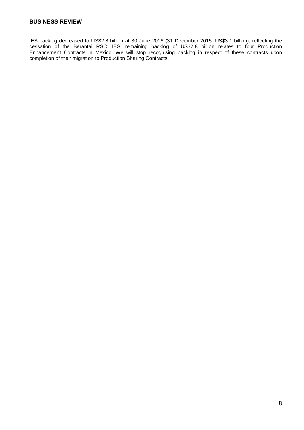IES backlog decreased to US\$2.8 billion at 30 June 2016 (31 December 2015: US\$3.1 billion), reflecting the cessation of the Berantai RSC. IES' remaining backlog of US\$2.8 billion relates to four Production Enhancement Contracts in Mexico. We will stop recognising backlog in respect of these contracts upon completion of their migration to Production Sharing Contracts.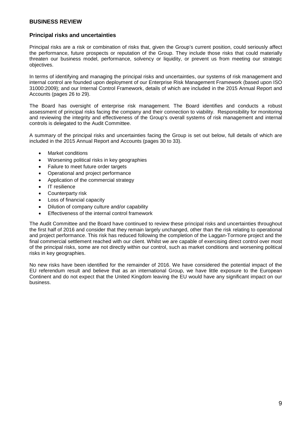#### **Principal risks and uncertainties**

Principal risks are a risk or combination of risks that, given the Group's current position, could seriously affect the performance, future prospects or reputation of the Group. They include those risks that could materially threaten our business model, performance, solvency or liquidity, or prevent us from meeting our strategic objectives.

In terms of identifying and managing the principal risks and uncertainties, our systems of risk management and internal control are founded upon deployment of our Enterprise Risk Management Framework (based upon ISO 31000:2009); and our Internal Control Framework, details of which are included in the 2015 Annual Report and Accounts (pages 26 to 29).

The Board has oversight of enterprise risk management. The Board identifies and conducts a robust assessment of principal risks facing the company and their connection to viability. Responsibility for monitoring and reviewing the integrity and effectiveness of the Group's overall systems of risk management and internal controls is delegated to the Audit Committee.

A summary of the principal risks and uncertainties facing the Group is set out below, full details of which are included in the 2015 Annual Report and Accounts (pages 30 to 33).

- Market conditions
- Worsening political risks in key geographies
- Failure to meet future order targets
- Operational and project performance
- Application of the commercial strategy
- IT resilience
- Counterparty risk
- Loss of financial capacity
- Dilution of company culture and/or capability
- Effectiveness of the internal control framework

The Audit Committee and the Board have continued to review these principal risks and uncertainties throughout the first half of 2016 and consider that they remain largely unchanged, other than the risk relating to operational and project performance. This risk has reduced following the completion of the Laggan-Tormore project and the final commercial settlement reached with our client. Whilst we are capable of exercising direct control over most of the principal risks, some are not directly within our control, such as market conditions and worsening political risks in key geographies.

No new risks have been identified for the remainder of 2016. We have considered the potential impact of the EU referendum result and believe that as an international Group, we have little exposure to the European Continent and do not expect that the United Kingdom leaving the EU would have any significant impact on our business.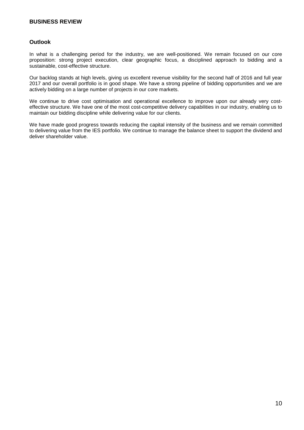#### **Outlook**

In what is a challenging period for the industry, we are well-positioned. We remain focused on our core proposition: strong project execution, clear geographic focus, a disciplined approach to bidding and a sustainable, cost-effective structure.

Our backlog stands at high levels, giving us excellent revenue visibility for the second half of 2016 and full year 2017 and our overall portfolio is in good shape. We have a strong pipeline of bidding opportunities and we are actively bidding on a large number of projects in our core markets.

We continue to drive cost optimisation and operational excellence to improve upon our already very costeffective structure. We have one of the most cost-competitive delivery capabilities in our industry, enabling us to maintain our bidding discipline while delivering value for our clients.

We have made good progress towards reducing the capital intensity of the business and we remain committed to delivering value from the IES portfolio. We continue to manage the balance sheet to support the dividend and deliver shareholder value.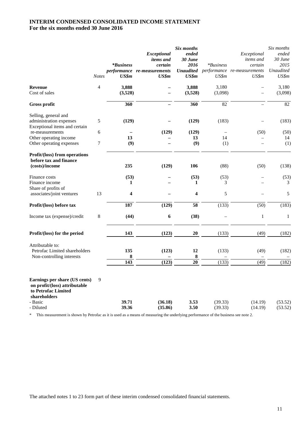### **INTERIM CONDENSED CONSOLIDATED INCOME STATEMENT For the six months ended 30 June 2016**

|                                                                                                                               | <b>Notes</b>     | <i>*Business</i><br>US\$m | Exceptional<br><i>items and</i><br>certain<br>performance re-measurements<br>US\$m | Six months<br>ended<br>30 June<br>2016<br>US\$m | <i>*Business</i><br>US\$m | Exceptional<br><i>items</i> and<br>certain<br><b>Unaudited</b> performance re-measurements<br>US\$m | Six months<br>ended<br>30 June<br>2015<br>Unaudited<br>US\$m |
|-------------------------------------------------------------------------------------------------------------------------------|------------------|---------------------------|------------------------------------------------------------------------------------|-------------------------------------------------|---------------------------|-----------------------------------------------------------------------------------------------------|--------------------------------------------------------------|
| <b>Revenue</b><br>Cost of sales                                                                                               | $\overline{4}$   | 3,888<br>(3,528)          |                                                                                    | 3,888<br>(3,528)                                | 3,180<br>(3,098)          |                                                                                                     | 3,180<br>(3,098)                                             |
| Gross profit                                                                                                                  |                  | 360                       |                                                                                    | 360                                             | $\overline{82}$           |                                                                                                     | $\overline{82}$                                              |
| Selling, general and<br>administration expenses<br>Exceptional items and certain<br>re-measurements                           | 5<br>6           | (129)                     | (129)                                                                              | (129)<br>(129)                                  | (183)                     | (50)                                                                                                | (183)<br>(50)                                                |
| Other operating income<br>Other operating expenses                                                                            | $\boldsymbol{7}$ | 13<br>(9)                 | $\overline{\phantom{0}}$                                                           | 13<br>(9)                                       | 14<br>(1)                 | $\overline{\phantom{0}}$                                                                            | 14<br>(1)                                                    |
| Profit/(loss) from operations<br>before tax and finance<br>(costs)/income                                                     |                  | 235                       | (129)                                                                              | 106                                             | (88)                      | (50)                                                                                                | (138)                                                        |
| Finance costs<br>Finance income<br>Share of profits of                                                                        |                  | (53)<br>1                 |                                                                                    | (53)<br>1                                       | (53)<br>3                 |                                                                                                     | (53)<br>3                                                    |
| associates/joint ventures                                                                                                     | 13               | 4                         |                                                                                    | $\overline{\mathbf{4}}$                         | 5                         |                                                                                                     | 5                                                            |
| Profit/(loss) before tax                                                                                                      |                  | 187                       | (129)                                                                              | $\overline{58}$                                 | (133)                     | (50)                                                                                                | (183)                                                        |
| Income tax (expense)/credit                                                                                                   | 8                | (44)                      | $\boldsymbol{6}$                                                                   | (38)                                            |                           | $\mathbf{1}$                                                                                        | $\mathbf{1}$                                                 |
| Profit/(loss) for the period                                                                                                  |                  | 143                       | (123)                                                                              | 20                                              | (133)                     | (49)                                                                                                | (182)                                                        |
| Attributable to:<br>Petrofac Limited shareholders<br>Non-controlling interests                                                |                  | 135<br>8                  | (123)                                                                              | 12<br>8                                         | (133)                     | (49)                                                                                                | (182)                                                        |
|                                                                                                                               |                  | 143                       | (123)                                                                              | 20                                              | (133)                     | (49)                                                                                                | (182)                                                        |
| Earnings per share (US cents)<br>on profit/(loss) attributable<br>to Petrofac Limited<br>shareholders<br>- Basic<br>- Diluted | 9                | 39.71<br>39.36            | (36.18)<br>(35.86)                                                                 | 3.53<br>3.50                                    | (39.33)<br>(39.33)        | (14.19)<br>(14.19)                                                                                  | (53.52)<br>(53.52)                                           |

\* This measurement is shown by Petrofac as it is used as a means of measuring the underlying performance of the business see note 2.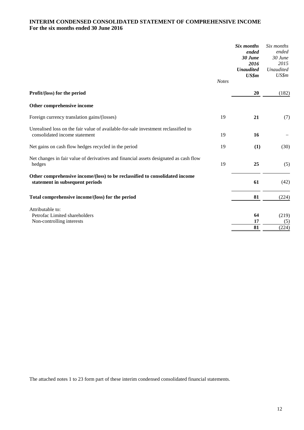### **INTERIM CONDENSED CONSOLIDATED STATEMENT OF COMPREHENSIVE INCOME For the six months ended 30 June 2016**

|                                                                                                                     |              | Six months<br>ended<br>30 June<br>2016<br><b>Unaudited</b><br>US\$m | Six months<br>ended<br>30 June<br>2015<br><b>Unaudited</b><br>US\$m |
|---------------------------------------------------------------------------------------------------------------------|--------------|---------------------------------------------------------------------|---------------------------------------------------------------------|
|                                                                                                                     | <b>Notes</b> |                                                                     |                                                                     |
| Profit/(loss) for the period                                                                                        |              | 20                                                                  | (182)                                                               |
| Other comprehensive income                                                                                          |              |                                                                     |                                                                     |
| Foreign currency translation gains/(losses)                                                                         | 19           | 21                                                                  | (7)                                                                 |
| Unrealised loss on the fair value of available-for-sale investment reclassified to<br>consolidated income statement | 19           | 16                                                                  |                                                                     |
| Net gains on cash flow hedges recycled in the period                                                                | 19           | (1)                                                                 | (30)                                                                |
| Net changes in fair value of derivatives and financial assets designated as cash flow<br>hedges                     | 19           | 25                                                                  | (5)                                                                 |
| Other comprehensive income/(loss) to be reclassified to consolidated income<br>statement in subsequent periods      |              | 61                                                                  | (42)                                                                |
| Total comprehensive income/(loss) for the period                                                                    |              | 81                                                                  | (224)                                                               |
| Attributable to:                                                                                                    |              |                                                                     |                                                                     |
| Petrofac Limited shareholders                                                                                       |              | 64                                                                  | (219)                                                               |
| Non-controlling interests                                                                                           |              | 17<br>81                                                            | (5)<br>(224)                                                        |
|                                                                                                                     |              |                                                                     |                                                                     |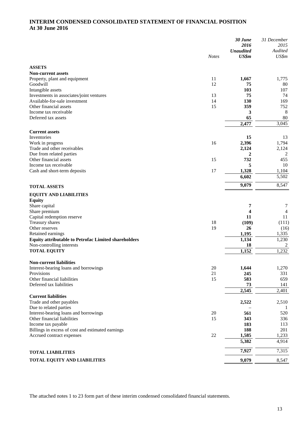### **INTERIM CONDENSED CONSOLIDATED STATEMENT OF FINANCIAL POSITION At 30 June 2016**

|                                                                           |              | 30 June<br>2016<br><b>Unaudited</b> | 31 December<br>2015<br>Audited |
|---------------------------------------------------------------------------|--------------|-------------------------------------|--------------------------------|
|                                                                           | <b>Notes</b> | US\$m                               | US\$m                          |
| <b>ASSETS</b>                                                             |              |                                     |                                |
| <b>Non-current assets</b>                                                 |              |                                     |                                |
| Property, plant and equipment                                             | 11           | 1,667                               | 1,775                          |
| Goodwill                                                                  | 12           | 75                                  | 80                             |
| Intangible assets                                                         |              | 103                                 | 107                            |
| Investments in associates/joint ventures<br>Available-for-sale investment | 13<br>14     | 75<br>130                           | 74<br>169                      |
| Other financial assets                                                    | 15           | 359                                 | 752                            |
| Income tax receivable                                                     |              | 3                                   | 8                              |
| Deferred tax assets                                                       |              | 65                                  | 80                             |
|                                                                           |              | 2,477                               | 3,045                          |
| <b>Current assets</b>                                                     |              |                                     |                                |
| Inventories                                                               |              | 15                                  | 13                             |
| Work in progress                                                          | 16           | 2,396                               | 1,794                          |
| Trade and other receivables                                               |              | 2,124                               | 2,124                          |
| Due from related parties                                                  |              | 2                                   | $\overline{2}$                 |
| Other financial assets                                                    | 15           | 732                                 | 455                            |
| Income tax receivable<br>Cash and short-term deposits                     | 17           | 5<br>1,328                          | 10<br>1,104                    |
|                                                                           |              | 6,602                               | 5,502                          |
| <b>TOTAL ASSETS</b>                                                       |              | 9,079                               | 8,547                          |
|                                                                           |              |                                     |                                |
| <b>EQUITY AND LIABILITIES</b><br><b>Equity</b>                            |              |                                     |                                |
| Share capital                                                             |              | 7                                   | 7                              |
| Share premium                                                             |              | 4                                   | 4                              |
| Capital redemption reserve                                                |              | 11                                  | 11                             |
| Treasury shares                                                           | 18           | (109)                               | (111)                          |
| Other reserves                                                            | 19           | 26                                  | (16)                           |
| Retained earnings                                                         |              | 1,195                               | 1,335                          |
| <b>Equity attributable to Petrofac Limited shareholders</b>               |              | 1,134                               | 1,230                          |
| Non-controlling interests<br><b>TOTAL EQUITY</b>                          |              | 18<br>1,152                         | 2<br>1,232                     |
|                                                                           |              |                                     |                                |
| <b>Non-current liabilities</b>                                            |              |                                     |                                |
| Interest-bearing loans and borrowings                                     | 20           | 1,644                               | 1,270                          |
| Provisions                                                                | 21           | 245                                 | 331                            |
| Other financial liabilities<br>Deferred tax liabilities                   | 15           | 583<br>73                           | 659<br>141                     |
|                                                                           |              | 2,545                               | 2,401                          |
| <b>Current liabilities</b>                                                |              |                                     |                                |
| Trade and other payables                                                  |              | 2,522                               | 2,510                          |
| Due to related parties                                                    |              |                                     |                                |
| Interest-bearing loans and borrowings                                     | 20           | 561                                 | 520                            |
| Other financial liabilities                                               | 15           | 343                                 | 336                            |
| Income tax payable<br>Billings in excess of cost and estimated earnings   |              | 183<br>188                          | 113<br>201                     |
| Accrued contract expenses                                                 | 22           | 1,585                               | 1,233                          |
|                                                                           |              | 5,382                               | 4,914                          |
| <b>TOTAL LIABILITIES</b>                                                  |              | 7,927                               | 7,315                          |
| TOTAL EQUITY AND LIABILITIES                                              |              | 9,079                               | 8,547                          |
|                                                                           |              |                                     |                                |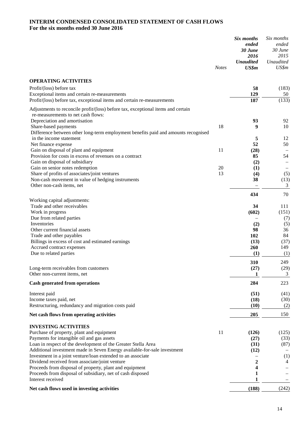### **INTERIM CONDENSED CONSOLIDATED STATEMENT OF CASH FLOWS For the six months ended 30 June 2016**

|                                                                                                           | <b>Notes</b> | Six months<br>ended<br>30 June<br>2016<br><b>Unaudited</b><br>US\$m | Six months<br>ended<br>30 June<br>2015<br>Unaudited<br>US\$m |
|-----------------------------------------------------------------------------------------------------------|--------------|---------------------------------------------------------------------|--------------------------------------------------------------|
| <b>OPERATING ACTIVITIES</b>                                                                               |              |                                                                     |                                                              |
| Profit/(loss) before tax                                                                                  |              | 58                                                                  | (183)                                                        |
| Exceptional items and certain re-measurements                                                             |              | 129                                                                 | 50                                                           |
| Profit/(loss) before tax, exceptional items and certain re-measurements                                   |              | 187                                                                 | (133)                                                        |
| Adjustments to reconcile profit/(loss) before tax, exceptional items and certain                          |              |                                                                     |                                                              |
| re-measurements to net cash flows:                                                                        |              |                                                                     |                                                              |
| Depreciation and amortisation                                                                             |              | 93                                                                  | 92                                                           |
| Share-based payments                                                                                      | 18           | 9                                                                   | 10                                                           |
| Difference between other long-term employment benefits paid and amounts recognised                        |              |                                                                     |                                                              |
| in the income statement                                                                                   |              | 5                                                                   | 12                                                           |
| Net finance expense                                                                                       | 11           | 52                                                                  | 50                                                           |
| Gain on disposal of plant and equipment<br>Provision for costs in excess of revenues on a contract        |              | (28)<br>85                                                          | 54                                                           |
| Gain on disposal of subsidiary                                                                            |              | (2)                                                                 |                                                              |
| Gain on senior notes redemption                                                                           | 20           | (1)                                                                 |                                                              |
| Share of profits of associates/joint ventures                                                             | 13           | (4)                                                                 | (5)                                                          |
| Non-cash movement in value of hedging instruments                                                         |              | 38                                                                  | (13)                                                         |
| Other non-cash items, net                                                                                 |              |                                                                     | 3                                                            |
|                                                                                                           |              | 434                                                                 | 70                                                           |
| Working capital adjustments:                                                                              |              |                                                                     |                                                              |
| Trade and other receivables                                                                               |              | 34                                                                  | 111                                                          |
| Work in progress                                                                                          |              | (602)                                                               | (151)                                                        |
| Due from related parties                                                                                  |              |                                                                     | (7)                                                          |
| Inventories<br>Other current financial assets                                                             |              | (2)<br>98                                                           | (5)<br>36                                                    |
| Trade and other payables                                                                                  |              | 102                                                                 | 84                                                           |
| Billings in excess of cost and estimated earnings                                                         |              | (13)                                                                | (37)                                                         |
| Accrued contract expenses                                                                                 |              | 260                                                                 | 149                                                          |
| Due to related parties                                                                                    |              | (1)                                                                 | (1)                                                          |
|                                                                                                           |              | 310                                                                 | 249                                                          |
| Long-term receivables from customers                                                                      |              | (27)                                                                | (29)                                                         |
| Other non-current items, net                                                                              |              | 1                                                                   | 3                                                            |
| <b>Cash generated from operations</b>                                                                     |              | 284                                                                 | 223                                                          |
|                                                                                                           |              |                                                                     |                                                              |
| Interest paid<br>Income taxes paid, net                                                                   |              | (51)                                                                | (41)<br>(30)                                                 |
| Restructuring, redundancy and migration costs paid                                                        |              | (18)<br>(10)                                                        | (2)                                                          |
|                                                                                                           |              |                                                                     |                                                              |
| Net cash flows from operating activities                                                                  |              | 205                                                                 | 150                                                          |
| <b>INVESTING ACTIVITIES</b>                                                                               |              |                                                                     |                                                              |
| Purchase of property, plant and equipment                                                                 | 11           | (126)                                                               | (125)                                                        |
| Payments for intangible oil and gas assets                                                                |              | (27)                                                                | (33)                                                         |
| Loan in respect of the development of the Greater Stella Area                                             |              | (31)                                                                | (87)                                                         |
| Additional investment made in Seven Energy available-for-sale investment                                  |              | (12)                                                                |                                                              |
| Investment in a joint venture/loan extended to an associate                                               |              |                                                                     | (1)                                                          |
| Dividend received from associate/joint venture<br>Proceeds from disposal of property, plant and equipment |              | 2<br>4                                                              | 4                                                            |
| Proceeds from disposal of subsidiary, net of cash disposed                                                |              | 1                                                                   |                                                              |
| Interest received                                                                                         |              | 1                                                                   |                                                              |
| Net cash flows used in investing activities                                                               |              | (188)                                                               | (242)                                                        |
|                                                                                                           |              |                                                                     |                                                              |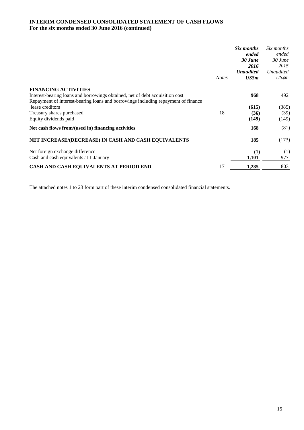### **INTERIM CONDENSED CONSOLIDATED STATEMENT OF CASH FLOWS For the six months ended 30 June 2016 (continued)**

|                                                                                   |              | Six months       | Six months       |
|-----------------------------------------------------------------------------------|--------------|------------------|------------------|
|                                                                                   |              | ended            | ended            |
|                                                                                   |              | 30 June          | $30$ June        |
|                                                                                   |              | 2016             | 2015             |
|                                                                                   |              | <b>Unaudited</b> | <b>Unaudited</b> |
|                                                                                   | <b>Notes</b> | US\$m            | US\$m            |
| <b>FINANCING ACTIVITIES</b>                                                       |              |                  |                  |
| Interest-bearing loans and borrowings obtained, net of debt acquisition cost      |              | 968              | 492              |
| Repayment of interest-bearing loans and borrowings including repayment of finance |              |                  |                  |
| lease creditors                                                                   |              | (615)            | (385)            |
| Treasury shares purchased                                                         | 18           | (36)             | (39)             |
| Equity dividends paid                                                             |              | (149)            | (149)            |
| Net cash flows from/(used in) financing activities                                |              | 168              | (81)             |
| NET INCREASE/(DECREASE) IN CASH AND CASH EQUIVALENTS                              |              | 185              | (173)            |
| Net foreign exchange difference                                                   |              | (1)              | (1)              |
| Cash and cash equivalents at 1 January                                            |              | 1,101            | 977              |
| CASH AND CASH EQUIVALENTS AT PERIOD END                                           | 17           | 1,285            | 803              |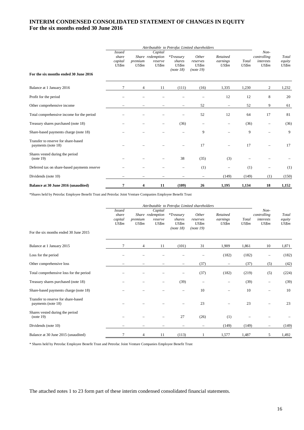#### **INTERIM CONDENSED CONSOLIDATED STATEMENT OF CHANGES IN EQUITY For the six months ended 30 June 2016**

|                                                           | Attributable to Petrofac Limited shareholders |                  |                                                 |                                             |                                         |                               |                |                                           |                          |
|-----------------------------------------------------------|-----------------------------------------------|------------------|-------------------------------------------------|---------------------------------------------|-----------------------------------------|-------------------------------|----------------|-------------------------------------------|--------------------------|
| For the six months ended 30 June 2016                     | <b>Issued</b><br>share<br>capital<br>US\$m    | premium<br>US\$m | Capital<br>Share redemption<br>reserve<br>US\$m | $*Treasury$<br>shares<br>US\$m<br>(note 18) | Other<br>reserves<br>US\$m<br>(note 19) | Retained<br>earnings<br>US\$m | Total<br>US\$m | Non-<br>controlling<br>interests<br>US\$m | Total<br>equity<br>US\$m |
| Balance at 1 January 2016                                 | 7                                             | 4                | 11                                              | (111)                                       | (16)                                    | 1,335                         | 1,230          | 2                                         | 1,232                    |
| Profit for the period                                     |                                               |                  |                                                 |                                             |                                         | 12                            | 12             | 8                                         | 20                       |
| Other comprehensive income                                |                                               |                  |                                                 | $\overline{\phantom{m}}$                    | 52                                      | $\overline{\phantom{0}}$      | 52             | 9                                         | 61                       |
| Total comprehensive income for the period                 |                                               |                  |                                                 |                                             | 52                                      | 12                            | 64             | 17                                        | 81                       |
| Treasury shares purchased (note 18)                       |                                               |                  |                                                 | (36)                                        | $\overline{\phantom{0}}$                |                               | (36)           |                                           | (36)                     |
| Share-based payments charge (note 18)                     |                                               |                  |                                                 |                                             | 9                                       |                               | 9              |                                           | 9                        |
| Transfer to reserve for share-based<br>payments (note 18) |                                               |                  |                                                 |                                             | 17                                      | $\overline{\phantom{0}}$      | 17             | -                                         | 17                       |
| Shares vested during the period<br>(note 19)              |                                               |                  |                                                 | 38                                          | (35)                                    | (3)                           |                |                                           |                          |
| Deferred tax on share-based payments reserve              |                                               |                  |                                                 |                                             | (1)                                     |                               | (1)            |                                           | (1)                      |
| Dividends (note 10)                                       |                                               |                  |                                                 |                                             | $\overline{\phantom{m}}$                | (149)                         | (149)          | (1)                                       | (150)                    |
| Balance at 30 June 2016 (unaudited)                       | 7                                             | 4                | 11                                              | (109)                                       | 26                                      | 1,195                         | 1,134          | 18                                        | 1,152                    |

\*Shares held by Petrofac Employee Benefit Trust and Petrofac Joint Venture Companies Employee Benefit Trust

|                                                           | Attributable to Petrofac Limited shareholders |                          |                                                 |                                             |                                         |                               |                |                                           |                          |
|-----------------------------------------------------------|-----------------------------------------------|--------------------------|-------------------------------------------------|---------------------------------------------|-----------------------------------------|-------------------------------|----------------|-------------------------------------------|--------------------------|
| For the six months ended 30 June 2015                     | <b>Issued</b><br>share<br>capital<br>US\$m    | premium<br>US\$m         | Capital<br>Share redemption<br>reserve<br>US\$m | $*Treasurv$<br>shares<br>US\$m<br>(note 18) | Other<br>reserves<br>US\$m<br>(note 19) | Retained<br>earnings<br>US\$m | Total<br>US\$m | Non-<br>controlling<br>interests<br>US\$m | Total<br>equity<br>US\$m |
| Balance at 1 January 2015                                 | 7                                             | $\overline{4}$           | 11                                              | (101)                                       | 31                                      | 1,909                         | 1,861          | 10                                        | 1,871                    |
| Loss for the period                                       |                                               |                          |                                                 |                                             |                                         | (182)                         | (182)          | -                                         | (182)                    |
| Other comprehensive loss                                  |                                               |                          |                                                 | $\overline{\phantom{0}}$                    | (37)                                    | -                             | (37)           | (5)                                       | (42)                     |
| Total comprehensive loss for the period                   |                                               |                          |                                                 |                                             | (37)                                    | (182)                         | (219)          | (5)                                       | (224)                    |
| Treasury shares purchased (note 18)                       |                                               |                          | -                                               | (39)                                        | -                                       |                               | (39)           | $\overline{\phantom{m}}$                  | (39)                     |
| Share-based payments charge (note 18)                     |                                               |                          |                                                 |                                             | 10                                      |                               | 10             |                                           | 10                       |
| Transfer to reserve for share-based<br>payments (note 18) |                                               |                          |                                                 |                                             | 23                                      |                               | 23             |                                           | 23                       |
| Shares vested during the period<br>(note 19)              |                                               |                          |                                                 | 27                                          | (26)                                    | (1)                           |                |                                           |                          |
| Dividends (note 10)                                       |                                               | $\overline{\phantom{0}}$ |                                                 |                                             | $\equiv$                                | (149)                         | (149)          | $\qquad \qquad -$                         | (149)                    |
| Balance at 30 June 2015 (unaudited)                       | 7                                             | 4                        | 11                                              | (113)                                       |                                         | 1,577                         | 1,487          | 5                                         | 1,492                    |

\* Shares held by Petrofac Employee Benefit Trust and Petrofac Joint Venture Companies Employee Benefit Trust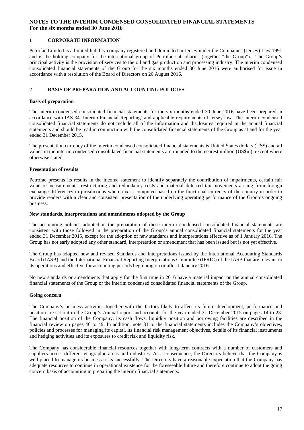#### **1 CORPORATE INFORMATION**

Petrofac Limited is a limited liability company registered and domiciled in Jersey under the Companies (Jersey) Law 1991 and is the holding company for the international group of Petrofac subsidiaries (together "the Group"). The Group's principal activity is the provision of services to the oil and gas production and processing industry. The interim condensed consolidated financial statements of the Group for the six months ended 30 June 2016 were authorised for issue in accordance with a resolution of the Board of Directors on 26 August 2016.

#### **2 BASIS OF PREPARATION AND ACCOUNTING POLICIES**

#### **Basis of preparation**

The interim condensed consolidated financial statements for the six months ended 30 June 2016 have been prepared in accordance with IAS 34 'Interim Financial Reporting' and applicable requirements of Jersey law. The interim condensed consolidated financial statements do not include all of the information and disclosures required in the annual financial statements and should be read in conjunction with the consolidated financial statements of the Group as at and for the year ended 31 December 2015.

The presentation currency of the interim condensed consolidated financial statements is United States dollars (US\$) and all values in the interim condensed consolidated financial statements are rounded to the nearest million (US\$m), except where otherwise stated.

#### **Presentation of results**

Petrofac presents its results in the income statement to identify separately the contribution of impairments, certain fair value re-measurements, restructuring and redundancy costs and material deferred tax movements arising from foreign exchange differences in jurisdictions where tax is computed based on the functional currency of the country in order to provide readers with a clear and consistent presentation of the underlying operating performance of the Group's ongoing business.

#### **New standards, interpretations and amendments adopted by the Group**

The accounting policies adopted in the preparation of these interim condensed consolidated financial statements are consistent with those followed in the preparation of the Group's annual consolidated financial statements for the year ended 31 December 2015, except for the adoption of new standards and interpretations effective as of 1 January 2016. The Group has not early adopted any other standard, interpretation or amendment that has been issued but is not yet effective.

The Group has adopted new and revised Standards and Interpretations issued by the International Accounting Standards Board (IASB) and the International Financial Reporting Interpretations Committee (IFRIC) of the IASB that are relevant to its operations and effective for accounting periods beginning on or after 1 January 2016.

No new standards or amendments that apply for the first time in 2016 have a material impact on the annual consolidated financial statements of the Group or the interim condensed consolidated financial statements of the Group.

#### **Going concern**

The Company's business activities together with the factors likely to affect its future development, performance and position are set out in the Group's Annual report and accounts for the year ended 31 December 2015 on pages 14 to 23. The financial position of the Company, its cash flows, liquidity position and borrowing facilities are described in the financial review on pages 46 to 49. In addition, note 31 to the financial statements includes the Company's objectives, policies and processes for managing its capital, its financial risk management objectives, details of its financial instruments and hedging activities and its exposures to credit risk and liquidity risk.

The Company has considerable financial resources together with long-term contracts with a number of customers and suppliers across different geographic areas and industries. As a consequence, the Directors believe that the Company is well placed to manage its business risks successfully. The Directors have a reasonable expectation that the Company has adequate resources to continue in operational existence for the foreseeable future and therefore continue to adopt the going concern basis of accounting in preparing the interim financial statements.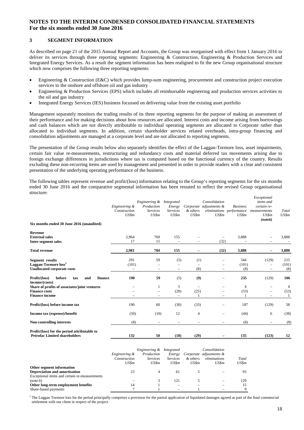#### **3 SEGMENT INFORMATION**

As described on page 21 of the 2015 Annual Report and Accounts, the Group was reorganised with effect from 1 January 2016 to deliver its services through three reporting segments: Engineering & Construction, Engineering & Production Services and Integrated Energy Services. As a result the segment information has been realigned to fit the new Group organisational structure which now comprises the following three reporting segments:

- Engineering & Construction (E&C) which provides lump-sum engineering, procurement and construction project execution services to the onshore and offshore oil and gas industry
- Engineering & Production Services (EPS) which includes all reimbursable engineering and production services activities to the oil and gas industry
- Integrated Energy Services (IES) business focussed on delivering value from the existing asset portfolio

Management separately monitors the trading results of its three reporting segments for the purpose of making an assessment of their performance and for making decisions about how resources are allocated. Interest costs and income arising from borrowings and cash balances which are not directly attributable to individual operating segments are allocated to Corporate rather than allocated to individual segments. In addition, certain shareholder services related overheads, intra-group financing and consolidation adjustments are managed at a corporate level and are not allocated to reporting segments.

The presentation of the Group results below also separately identifies the effect of the Laggan-Tormore loss, asset impairments, certain fair value re-measurements, restructuring and redundancy costs and material deferred tax movements arising due to foreign exchange differences in jurisdictions where tax is computed based on the functional currency of the country. Results excluding these non-recurring items are used by management and presented in order to provide readers with a clear and consistent presentation of the underlying operating performance of the business.

The following tables represent revenue and profit/(loss) information relating to the Group's reporting segments for the six months ended 30 June 2016 and the comparative segmental information has been restated to reflect the revised Group organisational structure: *Exceptional*

|                                                                                                  | Engineering &<br>Construction<br>US\$m | Engineering &<br>Production<br><b>Services</b><br>US\$m | Integrated<br>Energy<br><b>Services</b><br>US\$m | & others<br>US\$m                | Consolidation<br>Corporate adjustments &<br>US\$m                | <b>Business</b><br>eliminations performance<br>US\$m | елсериони<br><i>items</i> and<br>certain re-<br>measurements<br>US\$m<br>(note 6) | Total<br>US\$m      |
|--------------------------------------------------------------------------------------------------|----------------------------------------|---------------------------------------------------------|--------------------------------------------------|----------------------------------|------------------------------------------------------------------|------------------------------------------------------|-----------------------------------------------------------------------------------|---------------------|
| Six months ended 30 June 2016 (unaudited)                                                        |                                        |                                                         |                                                  |                                  |                                                                  |                                                      |                                                                                   |                     |
| Revenue<br><b>External sales</b><br><b>Inter-segment sales</b>                                   | 2,964<br>17                            | 769<br>15                                               | 155<br>$\overline{\phantom{m}}$                  |                                  | (32)                                                             | 3,888                                                |                                                                                   | 3,888               |
| <b>Total revenue</b>                                                                             | 2,981                                  | 784                                                     | 155                                              |                                  | (32)                                                             | 3,888                                                |                                                                                   | 3,888               |
| <b>Segment</b> results<br>Laggan-Tormore loss <sup>1</sup><br><b>Unallocated corporate costs</b> | 291<br>(101)                           | 59<br>$\overline{\phantom{m}}$                          | (5)<br>$\overline{\phantom{m}}$                  | (1)<br>(8)                       | $\equiv$<br>$\overline{\phantom{0}}$<br>$\overline{\phantom{m}}$ | 344<br>(101)<br>(8)                                  | (129)<br>$\equiv$                                                                 | 215<br>(101)<br>(8) |
| Profit/(loss)<br>before<br>finance<br>and<br>tax<br>income/(costs)                               | 190                                    | 59                                                      | (5)                                              | (9)                              | $\overline{\phantom{0}}$                                         | 235                                                  | (129)                                                                             | 106                 |
| Share of profits of associates/joint ventures<br><b>Finance costs</b><br><b>Finance income</b>   |                                        | 1<br>$\overline{\phantom{0}}$                           | 3<br>(28)<br>$\overline{\phantom{m}}$            | $\overline{\phantom{m}}$<br>(25) | $\equiv$                                                         | $\overline{4}$<br>(53)                               | -                                                                                 | 4<br>(53)<br>1      |
| Profit/(loss) before income tax                                                                  | 190                                    | 60                                                      | (30)                                             | (33)                             |                                                                  | 187                                                  | (129)                                                                             | 58                  |
| Income tax (expense)/benefit                                                                     | (50)                                   | (10)                                                    | 12                                               | $\overline{4}$                   | $\equiv$                                                         | (44)                                                 | 6                                                                                 | (38)                |
| <b>Non-controlling interests</b>                                                                 | (8)                                    |                                                         |                                                  |                                  |                                                                  | (8)                                                  |                                                                                   | (8)                 |
| Profit/(loss) for the period attributable to<br><b>Petrofac Limited shareholders</b>             | 132                                    | 50                                                      | (18)                                             | (29)                             | $\overline{\phantom{m}}$                                         | 135                                                  | (123)                                                                             | 12                  |
|                                                                                                  |                                        |                                                         |                                                  |                                  |                                                                  |                                                      |                                                                                   |                     |

|                                               | Engineering &<br>Construction<br>US\$m | Engineering &<br>Production<br><b>Services</b><br>US\$m | Integrated<br>Energy<br><i>Services</i><br>US\$m | & others<br>US\$m | Consolidation<br>Corporate adjustments &<br>eliminations<br>US\$m | Total<br>US\$m |
|-----------------------------------------------|----------------------------------------|---------------------------------------------------------|--------------------------------------------------|-------------------|-------------------------------------------------------------------|----------------|
| Other segment information                     |                                        |                                                         |                                                  |                   |                                                                   |                |
| <b>Depreciation and amortisation</b>          | 23                                     |                                                         | 61                                               |                   |                                                                   | 93             |
| Exceptional items and certain re-measurements |                                        |                                                         |                                                  |                   |                                                                   |                |
| (note 6)                                      |                                        |                                                         | 121                                              |                   |                                                                   | 129            |
| Other long-term employment benefits           | 14                                     |                                                         |                                                  |                   |                                                                   | 15             |
| Share-based payments                          |                                        |                                                         |                                                  |                   |                                                                   |                |

<sup>1</sup> The Laggan Tormore loss for the period principally comprises a provision for the partial application of liquidated damages agreed as part of the final commercial settlement with our client in respect of the project.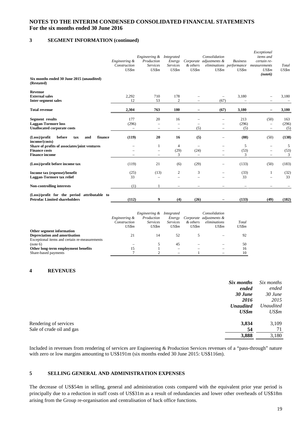### **3 SEGMENT INFORMATION (continued)**

|                                                                                                | Engineering &<br>Construction<br>US\$m | Engineering &<br>Production<br><b>Services</b><br>US\$m   | Integrated<br>Energy<br><b>Services</b><br>US\$m | & others<br>US\$m                                            | Consolidation<br>Corporate adjustments &<br>US\$m | <b>Business</b><br>eliminations performance<br>US\$m | Exceptional<br>items and<br>certain re-<br>measurements<br>US\$m<br>(note 6)     | Total<br>US\$m      |
|------------------------------------------------------------------------------------------------|----------------------------------------|-----------------------------------------------------------|--------------------------------------------------|--------------------------------------------------------------|---------------------------------------------------|------------------------------------------------------|----------------------------------------------------------------------------------|---------------------|
| Six months ended 30 June 2015 (unaudited)<br>(Restated)                                        |                                        |                                                           |                                                  |                                                              |                                                   |                                                      |                                                                                  |                     |
| Revenue<br><b>External sales</b><br><b>Inter-segment sales</b>                                 | 2,292<br>12                            | 710<br>53                                                 | 178<br>$\mathbf{2}$                              |                                                              | (67)                                              | 3,180                                                |                                                                                  | 3,180               |
| <b>Total revenue</b>                                                                           | 2,304                                  | 763                                                       | 180                                              |                                                              | (67)                                              | 3,180                                                |                                                                                  | 3,180               |
| Segment results<br><b>Laggan-Tormore loss</b><br><b>Unallocated corporate costs</b>            | 177<br>(296)<br>$\qquad \qquad -$      | 20<br>$\overline{\phantom{0}}$<br>$\qquad \qquad -$       | 16<br>$\qquad \qquad \longleftarrow$             | (5)                                                          | $\equiv$<br>$\overline{\phantom{0}}$              | 213<br>(296)<br>(5)                                  | (50)<br>$\qquad \qquad -$<br>$\overline{\phantom{0}}$                            | 163<br>(296)<br>(5) |
| before<br>finance<br>(Loss)/profit<br>tax<br>and<br>income/(costs)                             | (119)                                  | 20                                                        | 16                                               | (5)                                                          |                                                   | (88)                                                 | (50)                                                                             | (138)               |
| Share of profits of associates/joint ventures<br><b>Finance costs</b><br><b>Finance income</b> |                                        | 1<br>$\overline{\phantom{0}}$<br>$\overline{\phantom{m}}$ | 4<br>(29)<br>3                                   | $\overline{\phantom{m}}$<br>(24)<br>$\overline{\phantom{m}}$ | $\equiv$<br>$\equiv$                              | 5<br>(53)<br>3                                       | $\overline{\phantom{0}}$<br>$\overline{\phantom{m}}$<br>$\overline{\phantom{m}}$ | 5<br>(53)<br>3      |
| (Loss)/profit before income tax                                                                | (119)                                  | 21                                                        | (6)                                              | (29)                                                         | $\equiv$                                          | (133)                                                | (50)                                                                             | (183)               |
| Income tax (expense)/benefit<br>Laggan-Tormore tax relief                                      | (25)<br>33                             | (13)<br>$=$                                               | 2                                                | 3<br>$\equiv$                                                | $\equiv$                                          | (33)<br>33                                           |                                                                                  | (32)<br>33          |
| <b>Non-controlling interests</b>                                                               | (1)                                    |                                                           |                                                  |                                                              |                                                   | $\overline{\phantom{m}}$                             |                                                                                  |                     |
| (Loss)/profit for the period attributable to<br><b>Petrofac Limited shareholders</b>           | (112)                                  | 9                                                         | (4)                                              | (26)                                                         |                                                   | (133)                                                | (49)                                                                             | (182)               |

|                                               | <i>Engineering &amp;</i><br>Construction<br>US\$m | <i>Engineering &amp;</i><br>Production<br><b>Services</b><br>US\$m | Integrated<br>Energy<br><b>Services</b><br>US\$m | & others<br>US\$m | Consolidation<br>Corporate adjustments &<br>eliminations<br>US\$m | Total<br>US\$m |
|-----------------------------------------------|---------------------------------------------------|--------------------------------------------------------------------|--------------------------------------------------|-------------------|-------------------------------------------------------------------|----------------|
| Other segment information                     |                                                   |                                                                    |                                                  |                   |                                                                   |                |
| Depreciation and amortisation                 | 21                                                | 14                                                                 | 52                                               |                   |                                                                   | 92             |
| Exceptional items and certain re-measurements |                                                   |                                                                    |                                                  |                   |                                                                   |                |
| (note 6)                                      |                                                   |                                                                    | 45                                               |                   |                                                                   | 50             |
| Other long-term employment benefits           | 15                                                |                                                                    |                                                  |                   |                                                                   | 16             |
| Share-based payments                          |                                                   |                                                                    |                                                  |                   |                                                                   | 10             |

#### **4 REVENUES**

| Rendering of services<br>3,834           | Six months<br>Six months<br>ended<br>ended<br>$30$ June<br>$30$ June<br>2015<br>2016<br><b>Unaudited</b><br><b>Unaudited</b><br>US\$m<br>US\$m |  |
|------------------------------------------|------------------------------------------------------------------------------------------------------------------------------------------------|--|
| Sale of crude oil and gas<br>54<br>3,888 | 3,109<br>71<br>3,180                                                                                                                           |  |

Included in revenues from rendering of services are Engineering & Production Services revenues of a "pass-through" nature with zero or low margins amounting to US\$191m (six months ended 30 June 2015: US\$116m).

#### **5 SELLING GENERAL AND ADMINISTRATION EXPENSES**

The decrease of US\$54m in selling, general and administration costs compared with the equivalent prior year period is principally due to a reduction in staff costs of US\$31m as a result of redundancies and lower other overheads of US\$18m arising from the Group re-organisation and centralisation of back office functions.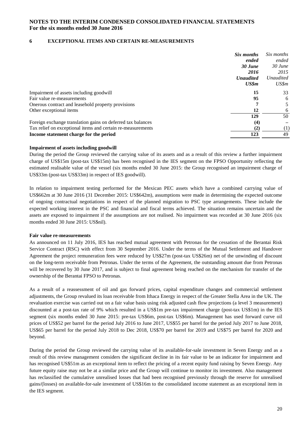#### **6 EXCEPTIONAL ITEMS AND CERTAIN RE-MEASUREMENTS**

|                                                             | Six months       | Six months       |
|-------------------------------------------------------------|------------------|------------------|
|                                                             | ended            | ended            |
|                                                             | 30 June          | $30$ June        |
|                                                             | 2016             | 2015             |
|                                                             | <b>Unaudited</b> | <b>Unaudited</b> |
|                                                             | US\$m            | US\$m            |
| Impairment of assets including goodwill                     | 15               | 33               |
| Fair value re-measurements                                  | 95               | 6                |
| Onerous contract and leasehold property provisions          |                  | 5                |
| Other exceptional items                                     | 12               | 6                |
|                                                             | 129              | 50               |
| Foreign exchange translation gains on deferred tax balances | (4)              |                  |
| Tax relief on exceptional items and certain re-measurements | (2)              | $\left(1\right)$ |
| Income statement charge for the period                      | 123              | 49               |

#### **Impairment of assets including goodwill**

During the period the Group reviewed the carrying value of its assets and as a result of this review a further impairment charge of US\$15m (post-tax US\$15m) has been recognised in the IES segment on the FPSO Opportunity reflecting the estimated realisable value of the vessel (six months ended 30 June 2015: the Group recognised an impairment charge of US\$33m (post-tax US\$33m) in respect of IES goodwill).

In relation to impairment testing performed for the Mexican PEC assets which have a combined carrying value of US\$662m at 30 June 2016 (31 December 2015: US\$642m), assumptions were made in determining the expected outcome of ongoing contractual negotiations in respect of the planned migration to PSC type arrangements. These include the expected working interest in the PSC and financial and fiscal terms achieved. The situation remains uncertain and the assets are exposed to impairment if the assumptions are not realised. No impairment was recorded at 30 June 2016 (six months ended 30 June 2015: US\$nil).

#### **Fair value re-measurements**

As announced on 11 July 2016, IES has reached mutual agreement with Petronas for the cessation of the Berantai Risk Service Contract (RSC) with effect from 30 September 2016. Under the terms of the Mutual Settlement and Handover Agreement the project remuneration fees were reduced by US\$27m (post-tax US\$26m) net of the unwinding of discount on the long-term receivable from Petronas. Under the terms of the Agreement, the outstanding amount due from Petronas will be recovered by 30 June 2017, and is subject to final agreement being reached on the mechanism for transfer of the ownership of the Berantai FPSO to Petronas.

As a result of a reassessment of oil and gas forward prices, capital expenditure changes and commercial settlement adjustments, the Group revalued its loan receivable from Ithaca Energy in respect of the Greater Stella Area in the UK. The revaluation exercise was carried out on a fair value basis using risk adjusted cash flow projections (a level 3 measurement) discounted at a post-tax rate of 9% which resulted in a US\$1m pre-tax impairment charge (post-tax US\$1m) in the IES segment (six months ended 30 June 2015: pre-tax US\$6m, post-tax US\$6m). Management has used forward curve oil prices of US\$52 per barrel for the period July 2016 to June 2017, US\$55 per barrel for the period July 2017 to June 2018, US\$65 per barrel for the period July 2018 to Dec 2018, US\$70 per barrel for 2019 and US\$75 per barrel for 2020 and beyond.

During the period the Group reviewed the carrying value of its available-for-sale investment in Seven Energy and as a result of this review management considers the significant decline in its fair value to be an indicator for impairment and has recognised US\$51m as an exceptional item to reflect the pricing of a recent equity fund raising by Seven Energy. Any future equity raise may not be at a similar price and the Group will continue to monitor its investment. Also management has reclassified the cumulative unrealised losses that had been recognised previously through the reserve for unrealised gains/(losses) on available-for-sale investment of US\$16m to the consolidated income statement as an exceptional item in the IES segment.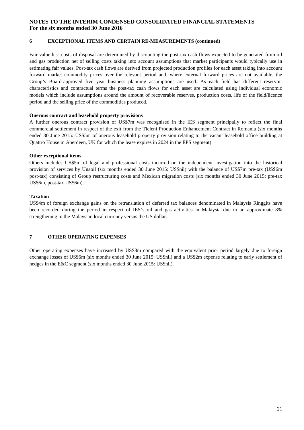#### **6 EXCEPTIONAL ITEMS AND CERTAIN RE-MEASUREMENTS (continued)**

Fair value less costs of disposal are determined by discounting the post-tax cash flows expected to be generated from oil and gas production net of selling costs taking into account assumptions that market participants would typically use in estimating fair values. Post-tax cash flows are derived from projected production profiles for each asset taking into account forward market commodity prices over the relevant period and, where external forward prices are not available, the Group's Board-approved five year business planning assumptions are used. As each field has different reservoir characteristics and contractual terms the post-tax cash flows for each asset are calculated using individual economic models which include assumptions around the amount of recoverable reserves, production costs, life of the field/licence period and the selling price of the commodities produced.

#### **Onerous contract and leasehold property provisions**

A further onerous contract provision of US\$7m was recognised in the IES segment principally to reflect the final commercial settlement in respect of the exit from the Ticleni Production Enhancement Contract in Romania (six months ended 30 June 2015: US\$5m of onerous leasehold property provision relating to the vacant leasehold office building at Quattro House in Aberdeen, UK for which the lease expires in 2024 in the EPS segment).

#### **Other exceptional items**

Others includes US\$5m of legal and professional costs incurred on the independent investigation into the historical provision of services by Unaoil (six months ended 30 June 2015: US\$nil) with the balance of US\$7m pre-tax (US\$6m post-tax) consisting of Group restructuring costs and Mexican migration costs (six months ended 30 June 2015: pre-tax US\$6m, post-tax US\$6m).

#### **Taxation**

US\$4m of foreign exchange gains on the retranslation of deferred tax balances denominated in Malaysia Ringgits have been recorded during the period in respect of IES's oil and gas activities in Malaysia due to an approximate 8% strengthening in the Malaysian local currency versus the US dollar.

#### **7 OTHER OPERATING EXPENSES**

Other operating expenses have increased by US\$8m compared with the equivalent prior period largely due to foreign exchange losses of US\$6m (six months ended 30 June 2015: US\$nil) and a US\$2m expense relating to early settlement of hedges in the E&C segment (six months ended 30 June 2015: US\$nil).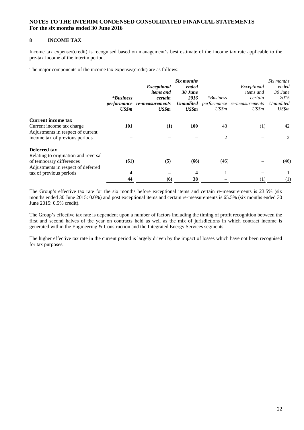#### **8 INCOME TAX**

Income tax expense/(credit) is recognised based on management's best estimate of the income tax rate applicable to the pre-tax income of the interim period.

The major components of the income tax expense/(credit) are as follows:

|                                      |                  |                                    | Six months       |             |                             | Six months       |
|--------------------------------------|------------------|------------------------------------|------------------|-------------|-----------------------------|------------------|
|                                      |                  | <i>Exceptional</i>                 | ended            |             | Exceptional                 | ended            |
|                                      |                  | <i>items and</i>                   | 30 June          |             | <i>items and</i>            | $30$ June        |
|                                      | <i>*Business</i> | certain                            | 2016             | $*Business$ | certain                     | 2015             |
|                                      |                  | <i>performance</i> re-measurements | <b>Unaudited</b> |             | performance re-measurements | <b>Unaudited</b> |
|                                      | US\$m            | US\$m                              | US\$m            | US\$m       | US\$m                       | US\$m            |
| <b>Current income tax</b>            |                  |                                    |                  |             |                             |                  |
| Current income tax charge            | 101              | (1)                                | <b>100</b>       | 43          | (1)                         | 42               |
| Adjustments in respect of current    |                  |                                    |                  |             |                             |                  |
| income tax of previous periods       |                  |                                    |                  | 2           |                             | 2                |
| Deferred tax                         |                  |                                    |                  |             |                             |                  |
| Relating to origination and reversal |                  |                                    |                  |             |                             |                  |
| of temporary differences             | (61)             | (5)                                | (66)             | (46)        |                             | (46)             |
| Adjustments in respect of deferred   |                  |                                    |                  |             |                             |                  |
| tax of previous periods              | 4                |                                    | 4                |             |                             |                  |
|                                      | 44               | (6)                                | 38               |             | (1)                         | (1)              |

The Group's effective tax rate for the six months before exceptional items and certain re-measurements is 23.5% (six months ended 30 June 2015: 0.0%) and post exceptional items and certain re-measurements is 65.5% (six months ended 30 June 2015: 0.5% credit).

The Group's effective tax rate is dependent upon a number of factors including the timing of profit recognition between the first and second halves of the year on contracts held as well as the mix of jurisdictions in which contract income is generated within the Engineering & Construction and the Integrated Energy Services segments.

The higher effective tax rate in the current period is largely driven by the impact of losses which have not been recognised for tax purposes.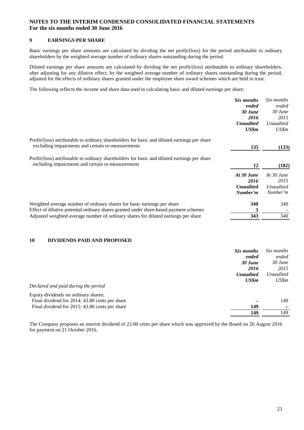#### **9 EARNINGS PER SHARE**

Basic earnings per share amounts are calculated by dividing the net profit/(loss) for the period attributable to ordinary shareholders by the weighted average number of ordinary shares outstanding during the period.

Diluted earnings per share amounts are calculated by dividing the net profit/(loss) attributable to ordinary shareholders, after adjusting for any dilutive effect, by the weighted average number of ordinary shares outstanding during the period, adjusted for the effects of ordinary shares granted under the employee share award schemes which are held in trust.

The following reflects the income and share data used in calculating basic and diluted earnings per share:

|                                                                                                                                                                                                                                                         | Six months<br>ended<br>$30$ June<br>2016<br><b>Unaudited</b><br>US\$m | Six months<br>ended<br>30 June<br>2015<br><b>Unaudited</b><br>US\$m |
|---------------------------------------------------------------------------------------------------------------------------------------------------------------------------------------------------------------------------------------------------------|-----------------------------------------------------------------------|---------------------------------------------------------------------|
| Profit/(loss) attributable to ordinary shareholders for basic and diluted earnings per share<br>excluding impairments and certain re-measurements                                                                                                       | 135                                                                   | (133)                                                               |
| Profit/(loss) attributable to ordinary shareholders for basic and diluted earnings per share<br>including impairments and certain re-measurements                                                                                                       | 12                                                                    | (182)                                                               |
|                                                                                                                                                                                                                                                         | At 30 June<br>2016<br><b>Unaudited</b><br>Number'm                    | At $30$ June<br>2015<br><b>Unaudited</b><br>Number'm                |
| Weighted average number of ordinary shares for basic earnings per share<br>Effect of dilutive potential ordinary shares granted under share-based payment schemes<br>Adjusted weighted average number of ordinary shares for diluted earnings per share | 340<br>3<br>343                                                       | 340<br>340                                                          |

#### **10 DIVIDENDS PAID AND PROPOSED**

|                                                | Six months       | Six months         |
|------------------------------------------------|------------------|--------------------|
|                                                | ended<br>30 June | ended<br>$30$ June |
|                                                | 2016             | 2015               |
|                                                | <b>Unaudited</b> | Unaudited          |
|                                                | US\$m            | US\$m              |
| Declared and paid during the period            |                  |                    |
| Equity dividends on ordinary shares:           |                  |                    |
| Final dividend for 2014: 43.80 cents per share |                  | 149                |
| Final dividend for 2015: 43.80 cents per share | 149              |                    |
|                                                | 149              | 149                |
|                                                |                  |                    |

The Company proposes an interim dividend of 22.00 cents per share which was approved by the Board on 26 August 2016 for payment on 21 October 2016.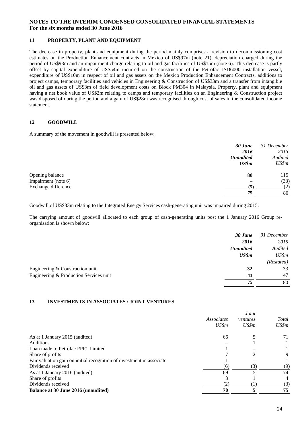#### **11 PROPERTY, PLANT AND EQUIPMENT**

The decrease in property, plant and equipment during the period mainly comprises a revision to decommissioning cost estimates on the Production Enhancement contracts in Mexico of US\$97m (note 21), depreciation charged during the period of US\$93m and an impairment charge relating to oil and gas facilities of US\$15m (note 6). This decrease is partly offset by capital expenditure of US\$54m incurred on the construction of the Petrofac JSD6000 installation vessel, expenditure of US\$10m in respect of oil and gas assets on the Mexico Production Enhancement Contracts, additions to project camps, temporary facilities and vehicles in Engineering & Construction of US\$33m and a transfer from intangible oil and gas assets of US\$3m of field development costs on Block PM304 in Malaysia. Property, plant and equipment having a net book value of US\$2m relating to camps and temporary facilities on an Engineering & Construction project was disposed of during the period and a gain of US\$28m was recognised through cost of sales in the consolidated income statement.

#### **12 GOODWILL**

A summary of the movement in goodwill is presented below:

| 30 June                    | 31 December |
|----------------------------|-------------|
| 2016                       | 2015        |
| <b>Unaudited</b>           | Audited     |
| US\$m                      | US\$m       |
| 80<br>Opening balance      | 115         |
| Impairment (note 6)        | (33)        |
| Exchange difference<br>(5) | (2)         |
| 75                         | 80          |

Goodwill of US\$33m relating to the Integrated Energy Services cash-generating unit was impaired during 2015.

The carrying amount of goodwill allocated to each group of cash-generating units post the 1 January 2016 Group reorganisation is shown below:

|                                        | 30 June          | 31 December |
|----------------------------------------|------------------|-------------|
|                                        | 2016             | 2015        |
|                                        | <b>Unaudited</b> | Audited     |
|                                        | US\$m            | US\$m       |
|                                        |                  | (Restated)  |
| Engineering & Construction unit        | 32               | 33          |
| Engineering & Production Services unit | 43               | 47          |
|                                        | 75               | 80          |

#### **13 INVESTMENTS IN ASSOCIATES / JOINT VENTURES**

|                                                                       |                     | Joint             |                |
|-----------------------------------------------------------------------|---------------------|-------------------|----------------|
|                                                                       | Associates<br>US\$m | ventures<br>US\$m | Total<br>US\$m |
|                                                                       |                     |                   |                |
| As at 1 January 2015 (audited)                                        | 66                  |                   | 71             |
| <b>Additions</b>                                                      |                     |                   |                |
| Loan made to Petrofac FPF1 Limited                                    |                     |                   |                |
| Share of profits                                                      |                     | $\mathfrak{D}$    | 9              |
| Fair valuation gain on initial recognition of investment in associate |                     |                   |                |
| Dividends received                                                    | (6)                 | (3)               | (9)            |
| As at 1 January 2016 (audited)                                        | 69                  |                   | 74             |
| Share of profits                                                      | 3                   |                   | 4              |
| Dividends received                                                    | (2)                 |                   | (3)            |
| Balance at 30 June 2016 (unaudited)                                   | 70                  |                   | 75             |
|                                                                       |                     |                   |                |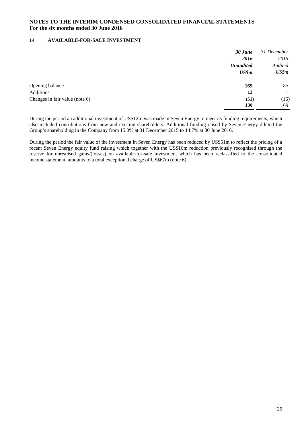#### **14 AVAILABLE-FOR-SALE INVESTMENT**

| 2016<br><b>Unaudited</b><br>US\$m      | 2015                     |
|----------------------------------------|--------------------------|
|                                        |                          |
|                                        | Audited                  |
|                                        | US\$m                    |
| Opening balance<br>169                 | 185                      |
| 12<br>Additions                        | $\overline{\phantom{m}}$ |
| Changes in fair value (note 6)<br>(51) | (16)                     |
| 130                                    | 169                      |

During the period an additional investment of US\$12m was made in Seven Energy to meet its funding requirements, which also included contributions from new and existing shareholders. Additional funding raised by Seven Energy diluted the Group's shareholding in the Company from 15.0% at 31 December 2015 to 14.7% at 30 June 2016.

During the period the fair value of the investment in Seven Energy has been reduced by US\$51m to reflect the pricing of a recent Seven Energy equity fund raising which together with the US\$16m reduction previously recognised through the reserve for unrealised gains/(losses) on available-for-sale investment which has been reclassified to the consolidated income statement, amounts to a total exceptional charge of US\$67m (note 6).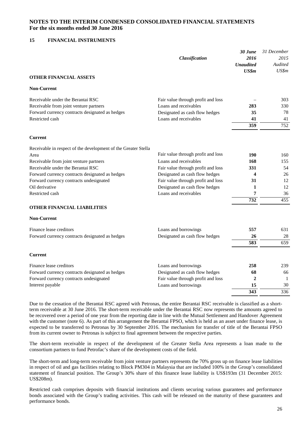#### **15 FINANCIAL INSTRUMENTS**

|                                                                | Classification                     | 30 June<br>2016<br><b>Unaudited</b><br>US\$m | 31 December<br>2015<br>Audited<br>US\$m |
|----------------------------------------------------------------|------------------------------------|----------------------------------------------|-----------------------------------------|
| <b>OTHER FINANCIAL ASSETS</b>                                  |                                    |                                              |                                         |
| <b>Non-Current</b>                                             |                                    |                                              |                                         |
| Receivable under the Berantai RSC                              | Fair value through profit and loss |                                              | 303                                     |
| Receivable from joint venture partners                         | Loans and receivables              | 283                                          | 330                                     |
| Forward currency contracts designated as hedges                | Designated as cash flow hedges     | 35                                           | 78                                      |
| Restricted cash                                                | Loans and receivables              | 41                                           | 41                                      |
|                                                                |                                    | 359                                          | 752                                     |
| <b>Current</b>                                                 |                                    |                                              |                                         |
| Receivable in respect of the development of the Greater Stella |                                    |                                              |                                         |
| Area                                                           | Fair value through profit and loss | 190                                          | 160                                     |
| Receivable from joint venture partners                         | Loans and receivables              | 168                                          | 155                                     |
| Receivable under the Berantai RSC                              | Fair value through profit and loss | 331                                          | 54                                      |
| Forward currency contracts designated as hedges                | Designated as cash flow hedges     | 4                                            | 26                                      |
| Forward currency contracts undesignated                        | Fair value through profit and loss | 31                                           | 12                                      |
| Oil derivative                                                 | Designated as cash flow hedges     | 1                                            | 12                                      |
| Restricted cash                                                | Loans and receivables              | 7                                            | 36                                      |
| <b>OTHER FINANCIAL LIABILITIES</b>                             |                                    | $\overline{732}$                             | 455                                     |
| <b>Non-Current</b>                                             |                                    |                                              |                                         |
| Finance lease creditors                                        | Loans and borrowings               | 557                                          | 631                                     |
| Forward currency contracts designated as hedges                | Designated as cash flow hedges     | 26                                           | 28                                      |
|                                                                |                                    | 583                                          | 659                                     |
| <b>Current</b>                                                 |                                    |                                              |                                         |
| Finance lease creditors                                        | Loans and borrowings               | 258                                          | 239                                     |
| Forward currency contracts designated as hedges                | Designated as cash flow hedges     | 68                                           | 66                                      |
| Forward currency contracts undesignated                        | Fair value through profit and loss | $\overline{2}$                               | $\mathbf{1}$                            |
| Interest payable                                               | Loans and borrowings               | 15                                           | 30                                      |
|                                                                |                                    | $\frac{1}{343}$                              | 336                                     |

Due to the cessation of the Berantai RSC agreed with Petronas, the entire Berantai RSC receivable is classified as a shortterm receivable at 30 June 2016. The short-term receivable under the Berantai RSC now represents the amounts agreed to be recovered over a period of one year from the reporting date in line with the Mutual Settlement and Handover Agreement with the customer (note 6). As part of this arrangement the Berantai FPSO, which is held as an asset under finance lease, is expected to be transferred to Petronas by 30 September 2016. The mechanism for transfer of title of the Berantai FPSO from its current owner to Petronas is subject to final agreement between the respective parties.

The short-term receivable in respect of the development of the Greater Stella Area represents a loan made to the consortium partners to fund Petrofac's share of the development costs of the field.

The short-term and long-term receivable from joint venture partners represents the 70% gross up on finance lease liabilities in respect of oil and gas facilities relating to Block PM304 in Malaysia that are included 100% in the Group's consolidated statement of financial position. The Group's 30% share of this finance lease liability is US\$193m (31 December 2015: US\$208m).

Restricted cash comprises deposits with financial institutions and clients securing various guarantees and performance bonds associated with the Group's trading activities. This cash will be released on the maturity of these guarantees and performance bonds.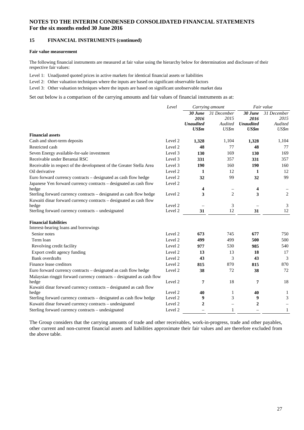#### **15 FINANCIAL INSTRUMENTS (continued)**

#### **Fair value measurement**

The following financial instruments are measured at fair value using the hierarchy below for determination and disclosure of their respective fair values:

Level 1: Unadjusted quoted prices in active markets for identical financial assets or liabilities

Level 2: Other valuation techniques where the inputs are based on significant observable factors

Level 3: Other valuation techniques where the inputs are based on significant unobservable market data

Set out below is a comparison of the carrying amounts and fair values of financial instruments as at:

|                                                                                                                                           | Level<br>Carrying amount |                                              | Fair value                              |                                              |                                         |
|-------------------------------------------------------------------------------------------------------------------------------------------|--------------------------|----------------------------------------------|-----------------------------------------|----------------------------------------------|-----------------------------------------|
|                                                                                                                                           |                          | 30 June<br>2016<br><b>Unaudited</b><br>US\$m | 31 December<br>2015<br>Audited<br>US\$m | 30 June<br>2016<br><b>Unaudited</b><br>US\$m | 31 December<br>2015<br>Audited<br>US\$m |
| <b>Financial assets</b>                                                                                                                   |                          |                                              |                                         |                                              |                                         |
| Cash and short-term deposits                                                                                                              | Level 2                  | 1,328                                        | 1,104                                   | 1,328                                        | 1,104                                   |
| Restricted cash                                                                                                                           | Level 2                  | 48                                           | 77                                      | 48                                           | 77                                      |
| Seven Energy available-for-sale investment                                                                                                | Level 3                  | 130                                          | 169                                     | 130                                          | 169                                     |
| Receivable under Berantai RSC                                                                                                             | Level 3                  | 331                                          | 357                                     | 331                                          | 357                                     |
| Receivable in respect of the development of the Greater Stella Area                                                                       | Level 3                  | 190                                          | 160                                     | <b>190</b>                                   | 160                                     |
| Oil derivative                                                                                                                            | Level 2                  | 1                                            | 12                                      | 1                                            | 12                                      |
| Euro forward currency contracts - designated as cash flow hedge                                                                           | Level 2                  | 32                                           | 99                                      | 32                                           | 99                                      |
| Japanese Yen forward currency contracts - designated as cash flow<br>hedge                                                                | Level 2                  | 4                                            | $\overline{\phantom{0}}$                | 4                                            |                                         |
| Sterling forward currency contracts - designated as cash flow hedge<br>Kuwaiti dinar forward currency contracts - designated as cash flow | Level 2                  | 3                                            | $\overline{c}$                          | 3                                            | $\overline{2}$                          |
| hedge                                                                                                                                     | Level 2                  |                                              | 3                                       |                                              | 3                                       |
| Sterling forward currency contracts - undesignated                                                                                        | Level 2                  | 31                                           | 12                                      | 31                                           | 12                                      |
| <b>Financial liabilities</b><br>Interest-bearing loans and borrowings                                                                     |                          |                                              |                                         |                                              |                                         |
| Senior notes                                                                                                                              | Level 2                  | 673                                          | 745                                     | 677                                          | 750                                     |
| Term loan                                                                                                                                 | Level 2                  | 499                                          | 499                                     | 500                                          | 500                                     |
| Revolving credit facility                                                                                                                 | Level 2                  | 977                                          | 530                                     | 985                                          | 540                                     |
| Export credit agency funding                                                                                                              | Level 2                  | 13                                           | 13                                      | 18                                           | 17                                      |
| <b>Bank</b> overdrafts                                                                                                                    | Level 2                  | 43                                           | 3                                       | 43                                           | 3                                       |
| Finance lease creditors                                                                                                                   | Level 2                  | 815                                          | 870                                     | 815                                          | 870                                     |
| Euro forward currency contracts - designated as cash flow hedge                                                                           | Level 2                  | 38                                           | 72                                      | 38                                           | 72                                      |
| Malaysian ringgit forward currency contracts - designated as cash flow                                                                    |                          |                                              |                                         |                                              |                                         |
| hedge<br>Kuwaiti dinar forward currency contracts - designated as cash flow                                                               | Level 2                  | 7                                            | 18                                      | 7                                            | 18                                      |
| hedge                                                                                                                                     | Level 2                  | 40                                           | $\mathbf{1}$                            | 40                                           | 1                                       |
| Sterling forward currency contracts - designated as cash flow hedge                                                                       | Level 2                  | 9                                            | 3                                       | 9                                            | 3                                       |
| Kuwaiti dinar forward currency contracts - undesignated                                                                                   | Level 2                  | $\boldsymbol{2}$                             | $\qquad \qquad -$                       | $\boldsymbol{2}$                             |                                         |
| Sterling forward currency contracts - undesignated                                                                                        | Level 2                  |                                              | $\mathbf{1}$                            |                                              | $\mathbf{1}$                            |

The Group considers that the carrying amounts of trade and other receivables, work-in-progress, trade and other payables, other current and non-current financial assets and liabilities approximate their fair values and are therefore excluded from the above table.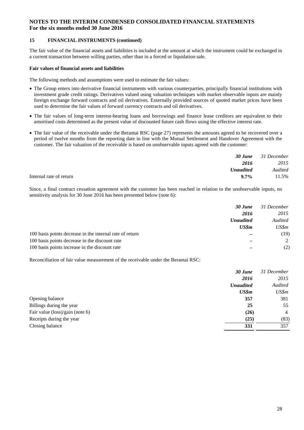#### **15 FINANCIAL INSTRUMENTS (continued)**

The fair value of the financial assets and liabilities is included at the amount at which the instrument could be exchanged in a current transaction between willing parties, other than in a forced or liquidation sale.

#### **Fair values of financial assets and liabilities**

The following methods and assumptions were used to estimate the fair values:

- The Group enters into derivative financial instruments with various counterparties, principally financial institutions with investment grade credit ratings. Derivatives valued using valuation techniques with market observable inputs are mainly foreign exchange forward contracts and oil derivatives. Externally provided sources of quoted market prices have been used to determine the fair values of forward currency contracts and oil derivatives.
- The fair values of long-term interest-bearing loans and borrowings and finance lease creditors are equivalent to their amortised costs determined as the present value of discounted future cash flows using the effective interest rate.
- The fair value of the receivable under the Berantai RSC (page 27) represents the amounts agreed to be recovered over a period of twelve months from the reporting date in line with the Mutual Settlement and Handover Agreement with the customer. The fair valuation of the receivable is based on unobservable inputs agreed with the customer:

|                                    | <b>30 June</b> 31 December |
|------------------------------------|----------------------------|
| 2016                               | 2015                       |
| <b>Unaudited</b>                   | Audited                    |
| Internal rate of return<br>$9.7\%$ | 11.5%                      |

Since, a final contract cessation agreement with the customer has been reached in relation to the unobservable inputs, no sensitivity analysis for 30 June 2016 has been presented below (note 6):

|                                                          | 30 June          | 31 December |
|----------------------------------------------------------|------------------|-------------|
|                                                          | 2016             | 2015        |
|                                                          | <b>Unaudited</b> | Audited     |
|                                                          | US\$m            | US\$m       |
| 100 basis points decrease in the internal rate of return |                  | (19)        |
| 100 basis points decrease in the discount rate           |                  | 2           |
| 100 basis points increase in the discount rate           |                  | (2)         |

Reconciliation of fair value measurement of the receivable under the Berantai RSC:

|                                 | 30 June          | 31 December    |
|---------------------------------|------------------|----------------|
|                                 | 2016             | 2015           |
|                                 | <b>Unaudited</b> | Audited        |
|                                 | US\$m            | US\$m          |
| Opening balance                 | 357              | 381            |
| Billings during the year        | 25               | 55             |
| Fair value (loss)/gain (note 6) | (26)             | $\overline{4}$ |
| Receipts during the year        | (25)             | (83)           |
| Closing balance                 | 331              | 357            |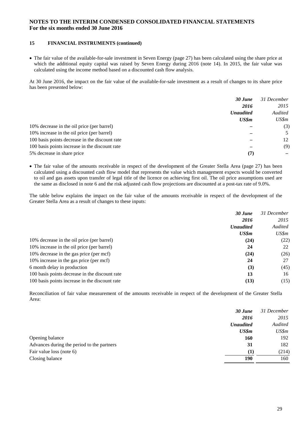#### **15 FINANCIAL INSTRUMENTS (continued)**

 The fair value of the available-for-sale investment in Seven Energy (page 27) has been calculated using the share price at which the additional equity capital was raised by Seven Energy during 2016 (note 14). In 2015, the fair value was calculated using the income method based on a discounted cash flow analysis.

At 30 June 2016, the impact on the fair value of the available-for-sale investment as a result of changes to its share price has been presented below:

|                                                | 30 June          | 31 December |
|------------------------------------------------|------------------|-------------|
|                                                | 2016             | 2015        |
|                                                | <b>Unaudited</b> | Audited     |
|                                                | US\$m            | US\$m       |
| 10% decrease in the oil price (per barrel)     |                  | (3)         |
| 10% increase in the oil price (per barrel)     |                  | .5          |
| 100 basis points decrease in the discount rate |                  | 12          |
| 100 basis points increase in the discount rate |                  | (9)         |
| 5% decrease in share price                     | (7               |             |

 The fair value of the amounts receivable in respect of the development of the Greater Stella Area (page 27) has been calculated using a discounted cash flow model that represents the value which management expects would be converted to oil and gas assets upon transfer of legal title of the licence on achieving first oil. The oil price assumptions used are the same as disclosed in note 6 and the risk adjusted cash flow projections are discounted at a post-tax rate of 9.0%.

The table below explains the impact on the fair value of the amounts receivable in respect of the development of the Greater Stella Area as a result of changes to these inputs:

|                                                | 30 June          | 31 December |
|------------------------------------------------|------------------|-------------|
|                                                | 2016             | 2015        |
|                                                | <b>Unaudited</b> | Audited     |
|                                                | US\$m            | US\$m       |
| 10% decrease in the oil price (per barrel)     | (24)             | (22)        |
| 10% increase in the oil price (per barrel)     | 24               | 22          |
| 10% decrease in the gas price (per mcf)        | (24)             | (26)        |
| 10% increase in the gas price (per mcf)        | 24               | 27          |
| 6 month delay in production                    | (3)              | (45)        |
| 100 basis points decrease in the discount rate | 13               | 16          |
| 100 basis points increase in the discount rate | (13)             | (15)        |

Reconciliation of fair value measurement of the amounts receivable in respect of the development of the Greater Stella Area:

|                                            | 30 June          | 31 December |
|--------------------------------------------|------------------|-------------|
|                                            | 2016             | 2015        |
|                                            | <b>Unaudited</b> | Audited     |
|                                            | US\$m            | US\$m       |
| Opening balance                            | 160              | 192         |
| Advances during the period to the partners | 31               | 182         |
| Fair value loss (note 6)                   | $\bf(1)$         | (214)       |
| Closing balance                            | 190              | 160         |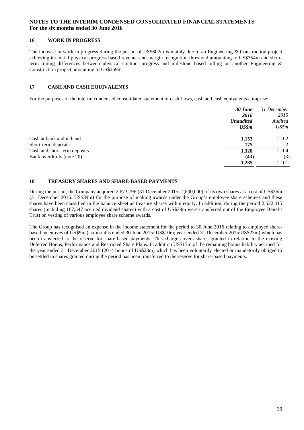#### **16 WORK IN PROGRESS**

The increase in work in progress during the period of US\$602m is mainly due to an Engineering & Construction project achieving its initial physical progress based revenue and margin recognition threshold amounting to US\$354m and shortterm timing differences between physical contract progress and milestone based billing on another Engineering & Construction project amounting to US\$269m.

#### **17 CASH AND CASH EQUIVALENTS**

For the purposes of the interim condensed consolidated statement of cash flows, cash and cash equivalents comprise:

|                              | 30 June          | 31 December |
|------------------------------|------------------|-------------|
|                              | 2016             | 2015        |
|                              | <b>Unaudited</b> | Audited     |
|                              | US\$m            | US\$m       |
| Cash at bank and in hand     | 1,153            | 1,102       |
| Short-term deposits          | 175              | 2           |
| Cash and short-term deposits | 1,328            | 1,104       |
| Bank overdrafts (note 20)    | (43)             | (3)         |
|                              | 1,285            | 1,101       |

#### **18 TREASURY SHARES AND SHARE-BASED PAYMENTS**

During the period, the Company acquired 2,673,796 (31 December 2015: 2,800,000) of its own shares at a cost of US\$36m (31 December 2015: US\$39m) for the purpose of making awards under the Group's employee share schemes and these shares have been classified in the balance sheet as treasury shares within equity. In addition, during the period 2,532,415 shares (including 167,547 accrued dividend shares) with a cost of US\$38m were transferred out of the Employee Benefit Trust on vesting of various employee share scheme awards.

The Group has recognised an expense in the income statement for the period to 30 June 2016 relating to employee sharebased incentives of US\$9m (six months ended 30 June 2015: US\$10m; year ended 31 December 2015:US\$23m) which has been transferred to the reserve for share-based payments. This charge covers shares granted in relation to the existing Deferred Bonus, Performance and Restricted Share Plans. In addition US\$17m of the remaining bonus liability accrued for the year ended 31 December 2015 (2014 bonus of US\$23m) which has been voluntarily elected or mandatorily obliged to be settled in shares granted during the period has been transferred to the reserve for share-based payments.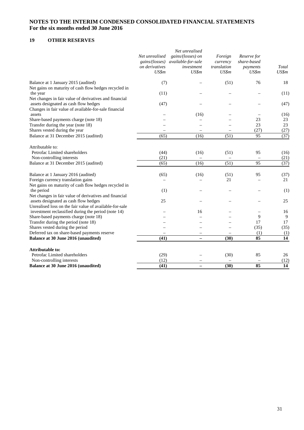### **19 OTHER RESERVES**

|                                                                                                                                                          | Net unrealised<br>gains/(losses)<br>on derivatives<br>US\$m | Net unrealised<br>gains/(losses) on<br>available-for-sale<br>investment<br>US\$m | Foreign<br>currency<br>translation<br>US\$m | Reserve for<br>share-based<br>payments<br>US\$m | Total<br>US\$m  |
|----------------------------------------------------------------------------------------------------------------------------------------------------------|-------------------------------------------------------------|----------------------------------------------------------------------------------|---------------------------------------------|-------------------------------------------------|-----------------|
| Balance at 1 January 2015 (audited)<br>Net gains on maturity of cash flow hedges recycled in                                                             | (7)                                                         |                                                                                  | (51)                                        | 76                                              | 18              |
| the year                                                                                                                                                 | (11)                                                        |                                                                                  |                                             |                                                 | (11)            |
| Net changes in fair value of derivatives and financial<br>assets designated as cash flow hedges<br>Changes in fair value of available-for-sale financial | (47)                                                        |                                                                                  |                                             |                                                 | (47)            |
| assets                                                                                                                                                   |                                                             | (16)                                                                             |                                             |                                                 | (16)            |
| Share-based payments charge (note 18)                                                                                                                    |                                                             |                                                                                  |                                             | 23                                              | 23              |
| Transfer during the year (note 18)                                                                                                                       |                                                             |                                                                                  |                                             | 23                                              | 23              |
| Shares vested during the year                                                                                                                            |                                                             |                                                                                  |                                             | (27)                                            | (27)            |
| Balance at 31 December 2015 (audited)                                                                                                                    | (65)                                                        | (16)                                                                             | (51)                                        | 95                                              | (37)            |
| Attributable to:<br>Petrofac Limited shareholders                                                                                                        |                                                             |                                                                                  |                                             |                                                 |                 |
|                                                                                                                                                          | (44)                                                        | (16)                                                                             | (51)                                        | 95                                              | (16)            |
| Non-controlling interests                                                                                                                                | (21)                                                        |                                                                                  |                                             | 95                                              | (21)            |
| Balance at 31 December 2015 (audited)                                                                                                                    | (65)                                                        | (16)                                                                             | (51)                                        |                                                 | (37)            |
| Balance at 1 January 2016 (audited)                                                                                                                      | (65)                                                        | (16)                                                                             | (51)                                        | 95                                              | (37)            |
| Foreign currency translation gains                                                                                                                       |                                                             |                                                                                  | 21                                          |                                                 | 21              |
| Net gains on maturity of cash flow hedges recycled in                                                                                                    |                                                             |                                                                                  |                                             |                                                 |                 |
| the period<br>Net changes in fair value of derivatives and financial                                                                                     | (1)                                                         |                                                                                  |                                             |                                                 | (1)             |
| assets designated as cash flow hedges                                                                                                                    | 25                                                          |                                                                                  |                                             |                                                 | 25              |
| Unrealised loss on the fair value of available-for-sale                                                                                                  |                                                             |                                                                                  |                                             |                                                 |                 |
| investment reclassified during the period (note 14)                                                                                                      |                                                             | 16                                                                               |                                             |                                                 | 16              |
| Share-based payments charge (note 18)                                                                                                                    |                                                             |                                                                                  |                                             | 9                                               | 9               |
| Transfer during the period (note 18)                                                                                                                     |                                                             |                                                                                  |                                             | 17                                              | 17              |
| Shares vested during the period                                                                                                                          |                                                             |                                                                                  |                                             | (35)                                            | (35)            |
| Deferred tax on share-based payments reserve                                                                                                             |                                                             |                                                                                  |                                             | (1)                                             | (1)             |
| Balance at 30 June 2016 (unaudited)                                                                                                                      | (41)                                                        |                                                                                  | (30)                                        | 85                                              | $\overline{14}$ |
| <b>Attributable to:</b>                                                                                                                                  |                                                             |                                                                                  |                                             |                                                 |                 |
| Petrofac Limited shareholders                                                                                                                            | (29)                                                        |                                                                                  | (30)                                        | 85                                              | 26              |
| Non-controlling interests                                                                                                                                | (12)                                                        |                                                                                  |                                             |                                                 | (12)            |
| Balance at 30 June 2016 (unaudited)                                                                                                                      | (41)                                                        |                                                                                  | (30)                                        | 85                                              | 14              |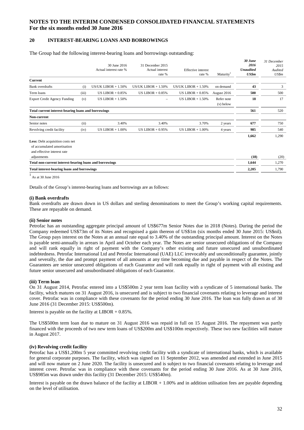#### **20 INTEREST-BEARING LOANS AND BORROWINGS**

#### The Group had the following interest-bearing loans and borrowings outstanding:

|                                                                                                |       | 30 June 2016<br>Actual interest rate % | 31 December 2015<br>Actual interest<br>rate % | <b>Effective</b> interest<br>rate % | Maturity <sup>1</sup>     | 30 June<br>2016<br><b>Unaudited</b><br>US\$m | 31 December<br>2015<br>Audited<br>US\$m |
|------------------------------------------------------------------------------------------------|-------|----------------------------------------|-----------------------------------------------|-------------------------------------|---------------------------|----------------------------------------------|-----------------------------------------|
| Current                                                                                        |       |                                        |                                               |                                     |                           |                                              |                                         |
| <b>Bank</b> overdrafts                                                                         | (i)   | US/UK LIBOR $+ 1.50\%$                 | US/UK LIBOR $+ 1.50\%$                        | US/UK LIBOR $+ 1.50\%$              | on demand                 | 43                                           | 3                                       |
| Term loans                                                                                     | (iii) | US LIBOR $+0.85%$                      | US LIBOR $+0.85%$                             | US LIBOR $+0.85%$                   | August 2016               | 500                                          | 500                                     |
| <b>Export Credit Agency Funding</b>                                                            | (v)   | US LIBOR $+ 1.50\%$                    | $\overline{\phantom{0}}$                      | US LIBOR $+ 1.50\%$                 | Refer note<br>$(v)$ below | 18                                           | 17                                      |
| Total current interest-bearing loans and borrowings                                            |       |                                        |                                               |                                     |                           | 561                                          | 520                                     |
| Non-current                                                                                    |       |                                        |                                               |                                     |                           |                                              |                                         |
| Senior notes                                                                                   | (ii)  | 3.40%                                  | 3.40%                                         | 3.70%                               | 2 years                   | 677                                          | 750                                     |
| Revolving credit facility                                                                      | (iv)  | US LIBOR $+ 1.00\%$                    | US LIBOR $+0.95%$                             | US LIBOR $+ 1.00\%$                 | 4 years                   | 985                                          | 540                                     |
| Less: Debt acquisition costs net<br>of accumulated amortisation<br>and effective interest rate |       |                                        |                                               |                                     |                           | 1,662                                        | 1,290                                   |
| adjustments                                                                                    |       |                                        |                                               |                                     |                           | (18)                                         | (20)                                    |
| Total non-current interest-bearing loans and borrowings                                        |       |                                        |                                               |                                     |                           | 1,644                                        | 1,270                                   |
| Total interest-bearing loans and borrowings                                                    |       |                                        |                                               |                                     |                           | 2,205                                        | 1,790                                   |
|                                                                                                |       |                                        |                                               |                                     |                           |                                              |                                         |

1 As at 30 June 2016

Details of the Group's interest-bearing loans and borrowings are as follows:

#### **(i) Bank overdrafts**

Bank overdrafts are drawn down in US dollars and sterling denominations to meet the Group's working capital requirements. These are repayable on demand.

#### **(ii) Senior notes**

Petrofac has an outstanding aggregate principal amount of US\$677m Senior Notes due in 2018 (Notes). During the period the Company redeemed US\$73m of its Notes and recognised a gain thereon of US\$1m (six months ended 30 June 2015: US\$nil). The Group pays interest on the Notes at an annual rate equal to 3.40% of the outstanding principal amount. Interest on the Notes is payable semi-annually in arrears in April and October each year. The Notes are senior unsecured obligations of the Company and will rank equally in right of payment with the Company's other existing and future unsecured and unsubordinated indebtedness. Petrofac International Ltd and Petrofac International (UAE) LLC irrevocably and unconditionally guarantee, jointly and severally, the due and prompt payment of all amounts at any time becoming due and payable in respect of the Notes. The Guarantees are senior unsecured obligations of each Guarantor and will rank equally in right of payment with all existing and future senior unsecured and unsubordinated obligations of each Guarantor.

#### **(iii) Term loan**

On 31 August 2014, Petrofac entered into a US\$500m 2 year term loan facility with a syndicate of 5 international banks. The facility, which matures on 31 August 2016, is unsecured and is subject to two financial covenants relating to leverage and interest cover. Petrofac was in compliance with these covenants for the period ending 30 June 2016. The loan was fully drawn as of 30 June 2016 (31 December 2015: US\$500m).

Interest is payable on the facility at  $LIBOR + 0.85\%$ .

The US\$500m term loan due to mature on 31 August 2016 was repaid in full on 15 August 2016. The repayment was partly financed with the proceeds of two new term loans of US\$200m and US\$100m respectively. These two new facilities will mature in August 2017.

#### **(iv) Revolving credit facility**

Petrofac has a US\$1,200m 5 year committed revolving credit facility with a syndicate of international banks, which is available for general corporate purposes. The facility, which was signed on 11 September 2012, was amended and extended in June 2015 and will now mature on 2 June 2020. The facility is unsecured and is subject to two financial covenants relating to leverage and interest cover. Petrofac was in compliance with these covenants for the period ending 30 June 2016. As at 30 June 2016, US\$985m was drawn under this facility (31 December 2015: US\$540m).

Interest is payable on the drawn balance of the facility at LIBOR  $+1.00\%$  and in addition utilisation fees are payable depending on the level of utilisation.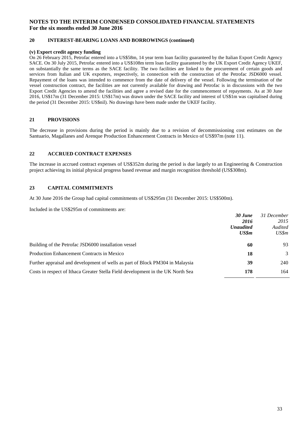#### **20 INTEREST-BEARING LOANS AND BORROWINGS (continued)**

#### **(v) Export credit agency funding**

On 26 February 2015, Petrofac entered into a US\$58m, 14 year term loan facility guaranteed by the Italian Export Credit Agency SACE. On 30 July 2015, Petrofac entered into a US\$108m term loan facility guaranteed by the UK Export Credit Agency UKEF, on substantially the same terms as the SACE facility. The two facilities are linked to the procurement of certain goods and services from Italian and UK exporters, respectively, in connection with the construction of the Petrofac JSD6000 vessel. Repayment of the loans was intended to commence from the date of delivery of the vessel. Following the termination of the vessel construction contract, the facilities are not currently available for drawing and Petrofac is in discussions with the two Export Credit Agencies to amend the facilities and agree a revised date for the commencement of repayments. As at 30 June 2016, US\$17m (31 December 2015: US\$17m) was drawn under the SACE facility and interest of US\$1m was capitalised during the period (31 December 2015: US\$nil). No drawings have been made under the UKEF facility.

#### **21 PROVISIONS**

The decrease in provisions during the period is mainly due to a revision of decommissioning cost estimates on the Santuario, Magallanes and Arenque Production Enhancement Contracts in Mexico of US\$97m (note 11).

#### **22 ACCRUED CONTRACT EXPENSES**

The increase in accrued contract expenses of US\$352m during the period is due largely to an Engineering & Construction project achieving its initial physical progress based revenue and margin recognition threshold (US\$308m).

#### **23 CAPITAL COMMITMENTS**

At 30 June 2016 the Group had capital commitments of US\$295m (31 December 2015: US\$500m).

Included in the US\$295m of commitments are:

|                                                                                 | 30 June          | 31 December |
|---------------------------------------------------------------------------------|------------------|-------------|
|                                                                                 | 2016             | 2015        |
|                                                                                 | <b>Unaudited</b> | Audited     |
|                                                                                 | US\$m            | US\$m       |
| Building of the Petrofac JSD6000 installation vessel                            | 60               | 93          |
| Production Enhancement Contracts in Mexico                                      | 18               | 3           |
| Further appraisal and development of wells as part of Block PM304 in Malaysia   | 39               | 240         |
| Costs in respect of Ithaca Greater Stella Field development in the UK North Sea | 178              | 164         |
|                                                                                 |                  |             |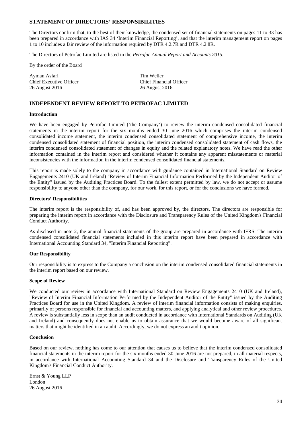#### **STATEMENT OF DIRECTORS' RESPONSIBILITIES**

The Directors confirm that, to the best of their knowledge, the condensed set of financial statements on pages 11 to 33 has been prepared in accordance with IAS 34 'Interim Financial Reporting', and that the interim management report on pages 1 to 10 includes a fair review of the information required by DTR 4.2.7R and DTR 4.2.8R.

The Directors of Petrofac Limited are listed in the *Petrofac Annual Report and Accounts 2015*.

By the order of the Board

Ayman Asfari Tim Weller 26 August 2016 26 August 2016

Chief Executive Officer Chief Financial Officer

#### **INDEPENDENT REVIEW REPORT TO PETROFAC LIMITED**

#### **Introduction**

We have been engaged by Petrofac Limited ('the Company') to review the interim condensed consolidated financial statements in the interim report for the six months ended 30 June 2016 which comprises the interim condensed consolidated income statement, the interim condensed consolidated statement of comprehensive income, the interim condensed consolidated statement of financial position, the interim condensed consolidated statement of cash flows, the interim condensed consolidated statement of changes in equity and the related explanatory notes. We have read the other information contained in the interim report and considered whether it contains any apparent misstatements or material inconsistencies with the information in the interim condensed consolidated financial statements.

This report is made solely to the company in accordance with guidance contained in International Standard on Review Engagements 2410 (UK and Ireland) "Review of Interim Financial Information Performed by the Independent Auditor of the Entity" issued by the Auditing Practices Board. To the fullest extent permitted by law, we do not accept or assume responsibility to anyone other than the company, for our work, for this report, or for the conclusions we have formed.

#### **Directors' Responsibilities**

The interim report is the responsibility of, and has been approved by, the directors. The directors are responsible for preparing the interim report in accordance with the Disclosure and Transparency Rules of the United Kingdom's Financial Conduct Authority.

As disclosed in note 2, the annual financial statements of the group are prepared in accordance with IFRS. The interim condensed consolidated financial statements included in this interim report have been prepared in accordance with International Accounting Standard 34, "Interim Financial Reporting".

#### **Our Responsibility**

Our responsibility is to express to the Company a conclusion on the interim condensed consolidated financial statements in the interim report based on our review.

#### **Scope of Review**

We conducted our review in accordance with International Standard on Review Engagements 2410 (UK and Ireland), "Review of Interim Financial Information Performed by the Independent Auditor of the Entity" issued by the Auditing Practices Board for use in the United Kingdom. A review of interim financial information consists of making enquiries, primarily of persons responsible for financial and accounting matters, and applying analytical and other review procedures. A review is substantially less in scope than an audit conducted in accordance with International Standards on Auditing (UK and Ireland) and consequently does not enable us to obtain assurance that we would become aware of all significant matters that might be identified in an audit. Accordingly, we do not express an audit opinion.

#### **Conclusion**

Based on our review, nothing has come to our attention that causes us to believe that the interim condensed consolidated financial statements in the interim report for the six months ended 30 June 2016 are not prepared, in all material respects, in accordance with International Accounting Standard 34 and the Disclosure and Transparency Rules of the United Kingdom's Financial Conduct Authority.

Ernst & Young LLP London 26 August 2016